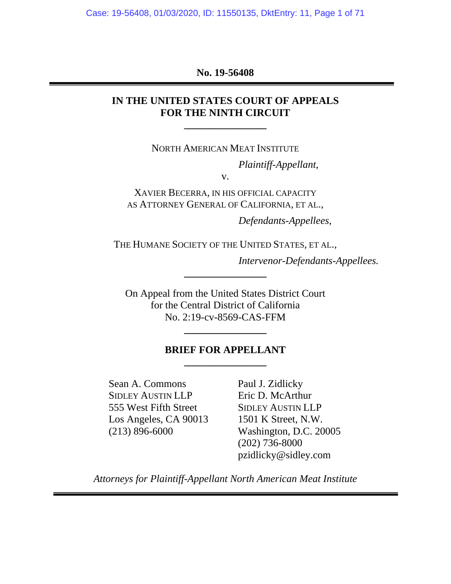Case: 19-56408, 01/03/2020, ID: 11550135, DktEntry: 11, Page 1 of 71

#### **No. 19-56408**

## **IN THE UNITED STATES COURT OF APPEALS FOR THE NINTH CIRCUIT**

NORTH AMERICAN MEAT INSTITUTE

**\_\_\_\_\_\_\_\_\_\_\_\_\_\_\_\_** 

*Plaintiff-Appellant*,

v.

XAVIER BECERRA, IN HIS OFFICIAL CAPACITY AS ATTORNEY GENERAL OF CALIFORNIA, ET AL.,

 *Defendants-Appellees*,

THE HUMANE SOCIETY OF THE UNITED STATES, ET AL.,

**\_\_\_\_\_\_\_\_\_\_\_\_\_\_\_\_**

 *Intervenor-Defendants-Appellees.* 

On Appeal from the United States District Court for the Central District of California No. 2:19-cv-8569-CAS-FFM

## **BRIEF FOR APPELLANT \_\_\_\_\_\_\_\_\_\_\_\_\_\_\_\_**

**\_\_\_\_\_\_\_\_\_\_\_\_\_\_\_\_**

Sean A. Commons Paul J. Zidlicky SIDLEY AUSTIN LLP Eric D. McArthur 555 West Fifth Street SIDLEY AUSTIN LLP Los Angeles, CA 90013 1501 K Street, N.W.

(213) 896-6000 Washington, D.C. 20005 (202) 736-8000 pzidlicky@sidley.com

*Attorneys for Plaintiff-Appellant North American Meat Institute*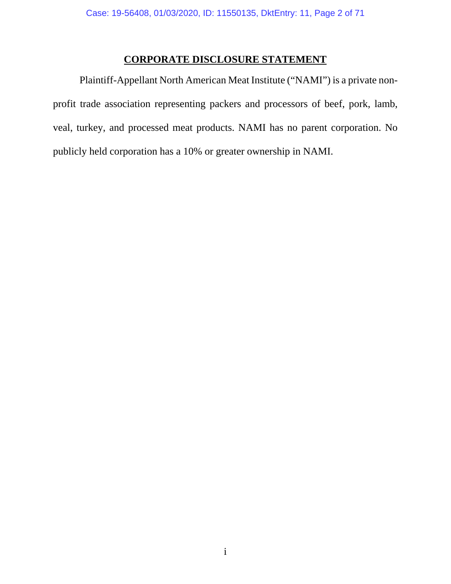## **CORPORATE DISCLOSURE STATEMENT**

<span id="page-1-0"></span>Plaintiff-Appellant North American Meat Institute ("NAMI") is a private nonprofit trade association representing packers and processors of beef, pork, lamb, veal, turkey, and processed meat products. NAMI has no parent corporation. No publicly held corporation has a 10% or greater ownership in NAMI.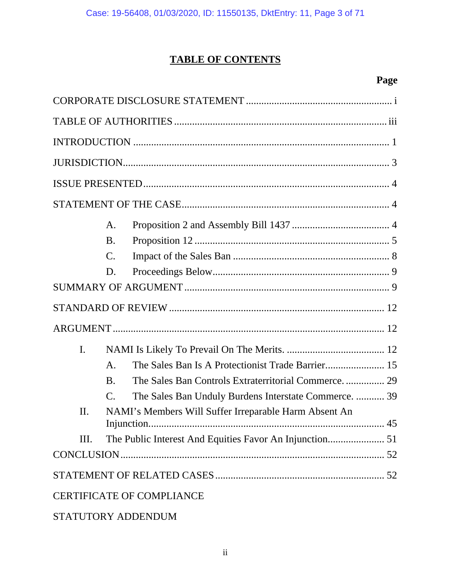## **TABLE OF CONTENTS**

## **Page**

|                                  | A.              |                                                       |  |  |
|----------------------------------|-----------------|-------------------------------------------------------|--|--|
|                                  | <b>B.</b>       |                                                       |  |  |
|                                  | $\mathcal{C}$ . |                                                       |  |  |
|                                  | D.              |                                                       |  |  |
|                                  |                 |                                                       |  |  |
|                                  |                 |                                                       |  |  |
|                                  |                 |                                                       |  |  |
| I.                               |                 |                                                       |  |  |
|                                  | A.              |                                                       |  |  |
|                                  | <b>B.</b>       | The Sales Ban Controls Extraterritorial Commerce 29   |  |  |
|                                  | $\mathbf{C}$ .  | The Sales Ban Unduly Burdens Interstate Commerce.  39 |  |  |
| Π.                               |                 | NAMI's Members Will Suffer Irreparable Harm Absent An |  |  |
| Ш.                               |                 |                                                       |  |  |
|                                  |                 |                                                       |  |  |
|                                  |                 |                                                       |  |  |
| <b>CERTIFICATE OF COMPLIANCE</b> |                 |                                                       |  |  |
| STATUTORY ADDENDUM               |                 |                                                       |  |  |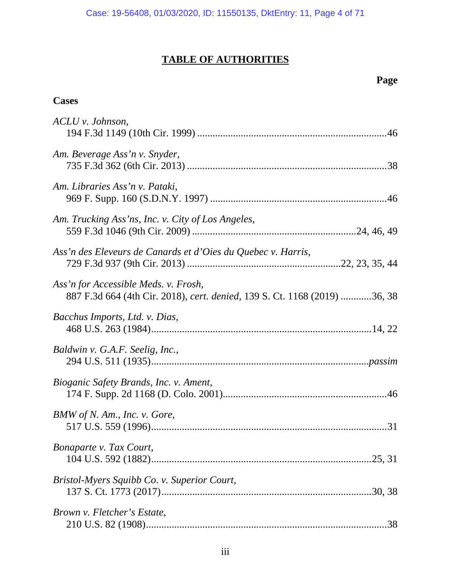## **TABLE OF AUTHORITIES**

## **Page**

## <span id="page-3-0"></span>**Cases**

| $ACLU$ v. Johnson,                                                                                                |
|-------------------------------------------------------------------------------------------------------------------|
|                                                                                                                   |
| Am. Beverage Ass'n v. Snyder,                                                                                     |
| Am. Libraries Ass'n v. Pataki,                                                                                    |
| Am. Trucking Ass'ns, Inc. v. City of Los Angeles,                                                                 |
| Ass'n des Eleveurs de Canards et d'Oies du Quebec v. Harris,                                                      |
| Ass'n for Accessible Meds. v. Frosh,<br>887 F.3d 664 (4th Cir. 2018), cert. denied, 139 S. Ct. 1168 (2019) 36, 38 |
| Bacchus Imports, Ltd. v. Dias,                                                                                    |
| Baldwin v. G.A.F. Seelig, Inc.,                                                                                   |
| Bioganic Safety Brands, Inc. v. Ament,                                                                            |
| BMW of N. Am., Inc. v. Gore,                                                                                      |
| Bonaparte v. Tax Court,                                                                                           |
| Bristol-Myers Squibb Co. v. Superior Court,                                                                       |
| Brown v. Fletcher's Estate,                                                                                       |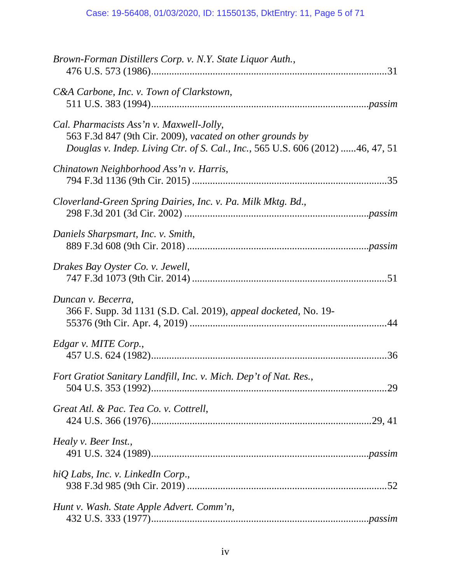| Brown-Forman Distillers Corp. v. N.Y. State Liquor Auth.,                                                                                                                               |
|-----------------------------------------------------------------------------------------------------------------------------------------------------------------------------------------|
| C&A Carbone, Inc. v. Town of Clarkstown,                                                                                                                                                |
| Cal. Pharmacists Ass'n v. Maxwell-Jolly,<br>563 F.3d 847 (9th Cir. 2009), vacated on other grounds by<br>Douglas v. Indep. Living Ctr. of S. Cal., Inc., 565 U.S. 606 (2012) 46, 47, 51 |
| Chinatown Neighborhood Ass'n v. Harris,                                                                                                                                                 |
| Cloverland-Green Spring Dairies, Inc. v. Pa. Milk Mktg. Bd.,                                                                                                                            |
| Daniels Sharpsmart, Inc. v. Smith,                                                                                                                                                      |
| Drakes Bay Oyster Co. v. Jewell,                                                                                                                                                        |
| Duncan v. Becerra,<br>366 F. Supp. 3d 1131 (S.D. Cal. 2019), appeal docketed, No. 19-                                                                                                   |
| Edgar v. MITE Corp.,                                                                                                                                                                    |
| Fort Gratiot Sanitary Landfill, Inc. v. Mich. Dep't of Nat. Res.,                                                                                                                       |
| Great Atl. & Pac. Tea Co. v. Cottrell,                                                                                                                                                  |
| Healy v. Beer Inst.,                                                                                                                                                                    |
| hiQ Labs, Inc. v. LinkedIn Corp.,                                                                                                                                                       |
| Hunt v. Wash. State Apple Advert. Comm'n,                                                                                                                                               |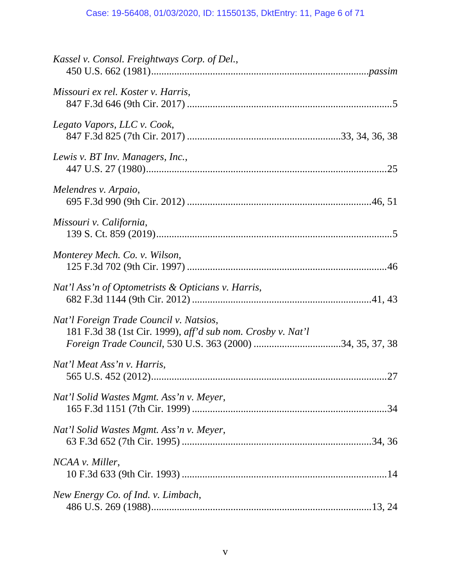| Kassel v. Consol. Freightways Corp. of Del.,                                                           |
|--------------------------------------------------------------------------------------------------------|
| Missouri ex rel. Koster v. Harris,                                                                     |
| Legato Vapors, LLC v. Cook,                                                                            |
| Lewis v. BT Inv. Managers, Inc.,                                                                       |
| Melendres v. Arpaio,                                                                                   |
| Missouri v. California,                                                                                |
| Monterey Mech. Co. v. Wilson,                                                                          |
| Nat'l Ass'n of Optometrists & Opticians v. Harris,                                                     |
| Nat'l Foreign Trade Council v. Natsios,<br>181 F.3d 38 (1st Cir. 1999), aff'd sub nom. Crosby v. Nat'l |
| Nat'l Meat Ass'n v. Harris,                                                                            |
| Nat'l Solid Wastes Mgmt. Ass'n v. Meyer,                                                               |
| Nat'l Solid Wastes Mgmt. Ass'n v. Meyer,                                                               |
| NCAA v. Miller,                                                                                        |
| New Energy Co. of Ind. v. Limbach,                                                                     |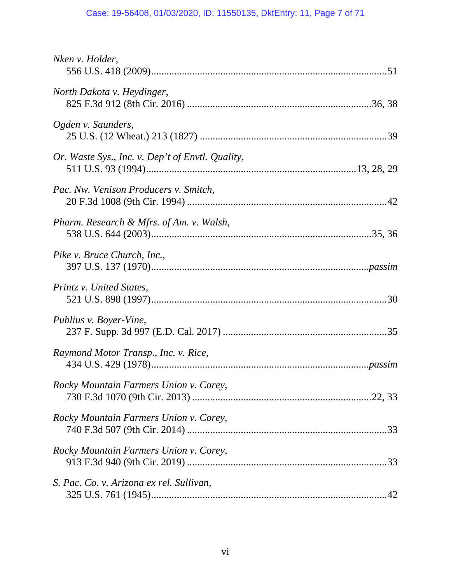## Case: 19-56408, 01/03/2020, ID: 11550135, DktEntry: 11, Page 7 of 71

| Nken v. Holder,                                  |
|--------------------------------------------------|
| North Dakota v. Heydinger,                       |
| Ogden v. Saunders,                               |
| Or. Waste Sys., Inc. v. Dep't of Envtl. Quality, |
| Pac. Nw. Venison Producers v. Smitch,            |
| Pharm. Research & Mfrs. of Am. v. Walsh,         |
| Pike v. Bruce Church, Inc.,                      |
| Printz v. United States,                         |
| Publius v. Boyer-Vine,                           |
| Raymond Motor Transp., Inc. v. Rice,             |
| Rocky Mountain Farmers Union v. Corey,           |
| Rocky Mountain Farmers Union v. Corey,           |
| Rocky Mountain Farmers Union v. Corey,           |
| S. Pac. Co. v. Arizona ex rel. Sullivan,         |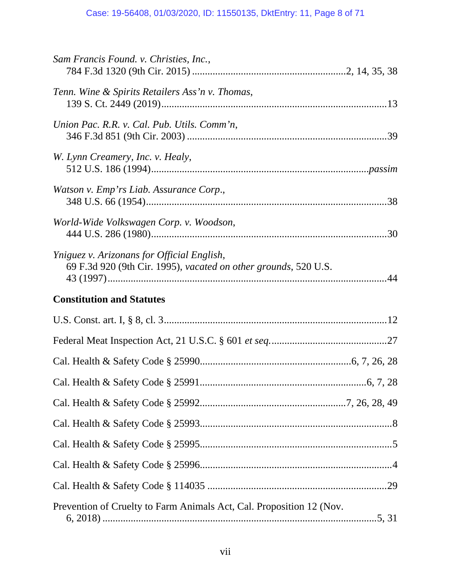## Case: 19-56408, 01/03/2020, ID: 11550135, DktEntry: 11, Page 8 of 71

| Sam Francis Found. v. Christies, Inc.,                                                                        |  |
|---------------------------------------------------------------------------------------------------------------|--|
| Tenn. Wine & Spirits Retailers Ass'n v. Thomas,                                                               |  |
| Union Pac. R.R. v. Cal. Pub. Utils. Comm'n,                                                                   |  |
| W. Lynn Creamery, Inc. v. Healy,                                                                              |  |
| Watson v. Emp'rs Liab. Assurance Corp.,                                                                       |  |
| World-Wide Volkswagen Corp. v. Woodson,                                                                       |  |
| Yniguez v. Arizonans for Official English,<br>69 F.3d 920 (9th Cir. 1995), vacated on other grounds, 520 U.S. |  |
| <b>Constitution and Statutes</b>                                                                              |  |
|                                                                                                               |  |
|                                                                                                               |  |
|                                                                                                               |  |
|                                                                                                               |  |
|                                                                                                               |  |
|                                                                                                               |  |
|                                                                                                               |  |
|                                                                                                               |  |
|                                                                                                               |  |
| Prevention of Cruelty to Farm Animals Act, Cal. Proposition 12 (Nov.                                          |  |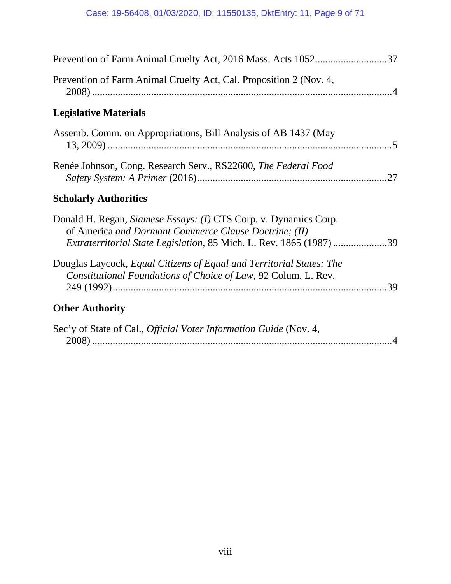| Prevention of Farm Animal Cruelty Act, 2016 Mass. Acts 105237                                                                                                                                           |
|---------------------------------------------------------------------------------------------------------------------------------------------------------------------------------------------------------|
| Prevention of Farm Animal Cruelty Act, Cal. Proposition 2 (Nov. 4,                                                                                                                                      |
| <b>Legislative Materials</b>                                                                                                                                                                            |
| Assemb. Comm. on Appropriations, Bill Analysis of AB 1437 (May                                                                                                                                          |
| Renée Johnson, Cong. Research Serv., RS22600, The Federal Food                                                                                                                                          |
| <b>Scholarly Authorities</b>                                                                                                                                                                            |
| Donald H. Regan, Siamese Essays: (1) CTS Corp. v. Dynamics Corp.<br>of America and Dormant Commerce Clause Doctrine; (II)<br><i>Extraterritorial State Legislation, 85 Mich. L. Rev. 1865 (1987) 39</i> |
| Douglas Laycock, Equal Citizens of Equal and Territorial States: The<br>Constitutional Foundations of Choice of Law, 92 Colum. L. Rev.<br>.39                                                           |
| <b>Other Authority</b>                                                                                                                                                                                  |
| Sec'y of State of Cal., <i>Official Voter Information Guide</i> (Nov. 4,                                                                                                                                |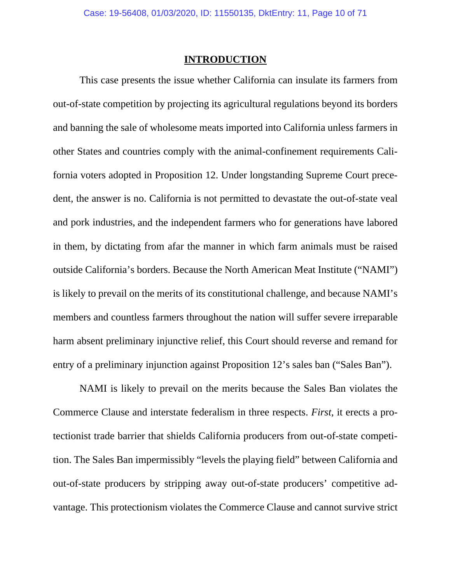## **INTRODUCTION**

<span id="page-9-0"></span>This case presents the issue whether California can insulate its farmers from out-of-state competition by projecting its agricultural regulations beyond its borders and banning the sale of wholesome meats imported into California unless farmers in other States and countries comply with the animal-confinement requirements California voters adopted in Proposition 12. Under longstanding Supreme Court precedent, the answer is no. California is not permitted to devastate the out-of-state veal and pork industries, and the independent farmers who for generations have labored in them, by dictating from afar the manner in which farm animals must be raised outside California's borders. Because the North American Meat Institute ("NAMI") is likely to prevail on the merits of its constitutional challenge, and because NAMI's members and countless farmers throughout the nation will suffer severe irreparable harm absent preliminary injunctive relief, this Court should reverse and remand for entry of a preliminary injunction against Proposition 12's sales ban ("Sales Ban").

NAMI is likely to prevail on the merits because the Sales Ban violates the Commerce Clause and interstate federalism in three respects. *First*, it erects a protectionist trade barrier that shields California producers from out-of-state competition. The Sales Ban impermissibly "levels the playing field" between California and out-of-state producers by stripping away out-of-state producers' competitive advantage. This protectionism violates the Commerce Clause and cannot survive strict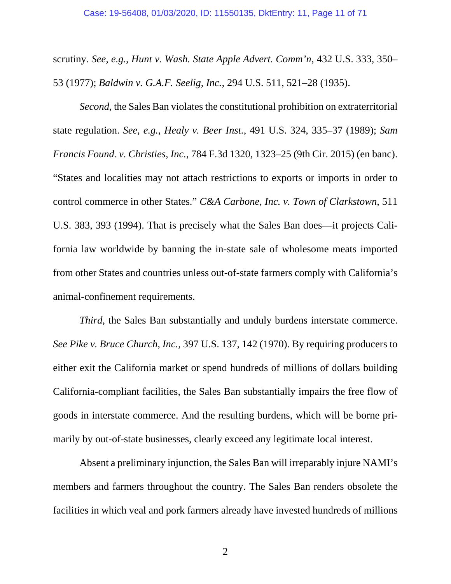scrutiny. *See, e.g.*, *Hunt v. Wash. State Apple Advert. Comm'n*, 432 U.S. 333, 350– 53 (1977); *Baldwin v. G.A.F. Seelig, Inc.*, 294 U.S. 511, 521–28 (1935).

*Second*, the Sales Ban violates the constitutional prohibition on extraterritorial state regulation. *See, e.g.*, *Healy v. Beer Inst.*, 491 U.S. 324, 335–37 (1989); *Sam Francis Found. v. Christies, Inc.*, 784 F.3d 1320, 1323–25 (9th Cir. 2015) (en banc). "States and localities may not attach restrictions to exports or imports in order to control commerce in other States." *C&A Carbone, Inc. v. Town of Clarkstown*, 511 U.S. 383, 393 (1994). That is precisely what the Sales Ban does—it projects California law worldwide by banning the in-state sale of wholesome meats imported from other States and countries unless out-of-state farmers comply with California's animal-confinement requirements.

*Third*, the Sales Ban substantially and unduly burdens interstate commerce. *See Pike v. Bruce Church, Inc.*, 397 U.S. 137, 142 (1970). By requiring producers to either exit the California market or spend hundreds of millions of dollars building California-compliant facilities, the Sales Ban substantially impairs the free flow of goods in interstate commerce. And the resulting burdens, which will be borne primarily by out-of-state businesses, clearly exceed any legitimate local interest.

Absent a preliminary injunction, the Sales Ban will irreparably injure NAMI's members and farmers throughout the country. The Sales Ban renders obsolete the facilities in which veal and pork farmers already have invested hundreds of millions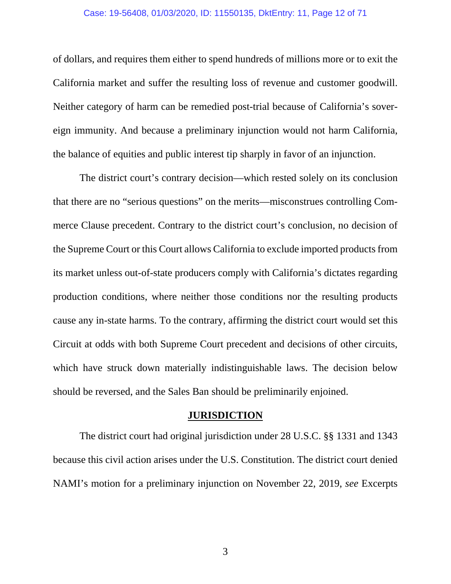#### Case: 19-56408, 01/03/2020, ID: 11550135, DktEntry: 11, Page 12 of 71

<span id="page-11-0"></span>of dollars, and requires them either to spend hundreds of millions more or to exit the California market and suffer the resulting loss of revenue and customer goodwill. Neither category of harm can be remedied post-trial because of California's sovereign immunity. And because a preliminary injunction would not harm California, the balance of equities and public interest tip sharply in favor of an injunction.

The district court's contrary decision—which rested solely on its conclusion that there are no "serious questions" on the merits—misconstrues controlling Commerce Clause precedent. Contrary to the district court's conclusion, no decision of the Supreme Court or this Court allows California to exclude imported products from its market unless out-of-state producers comply with California's dictates regarding production conditions, where neither those conditions nor the resulting products cause any in-state harms. To the contrary, affirming the district court would set this Circuit at odds with both Supreme Court precedent and decisions of other circuits, which have struck down materially indistinguishable laws. The decision below should be reversed, and the Sales Ban should be preliminarily enjoined.

#### **JURISDICTION**

The district court had original jurisdiction under 28 U.S.C. §§ 1331 and 1343 because this civil action arises under the U.S. Constitution. The district court denied NAMI's motion for a preliminary injunction on November 22, 2019, *see* Excerpts

3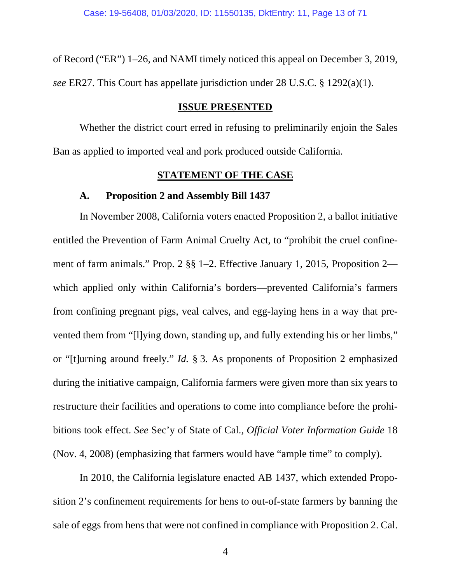<span id="page-12-0"></span>of Record ("ER") 1–26, and NAMI timely noticed this appeal on December 3, 2019, *see* ER27. This Court has appellate jurisdiction under 28 U.S.C. § 1292(a)(1).

#### **ISSUE PRESENTED**

Whether the district court erred in refusing to preliminarily enjoin the Sales Ban as applied to imported veal and pork produced outside California.

## **STATEMENT OF THE CASE**

#### **A. Proposition 2 and Assembly Bill 1437**

In November 2008, California voters enacted Proposition 2, a ballot initiative entitled the Prevention of Farm Animal Cruelty Act, to "prohibit the cruel confinement of farm animals." Prop. 2 §§ 1–2. Effective January 1, 2015, Proposition 2 which applied only within California's borders—prevented California's farmers from confining pregnant pigs, veal calves, and egg-laying hens in a way that prevented them from "[l]ying down, standing up, and fully extending his or her limbs," or "[t]urning around freely." *Id.* § 3. As proponents of Proposition 2 emphasized during the initiative campaign, California farmers were given more than six years to restructure their facilities and operations to come into compliance before the prohibitions took effect. *See* Sec'y of State of Cal., *Official Voter Information Guide* 18 (Nov. 4, 2008) (emphasizing that farmers would have "ample time" to comply).

In 2010, the California legislature enacted AB 1437, which extended Proposition 2's confinement requirements for hens to out-of-state farmers by banning the sale of eggs from hens that were not confined in compliance with Proposition 2. Cal.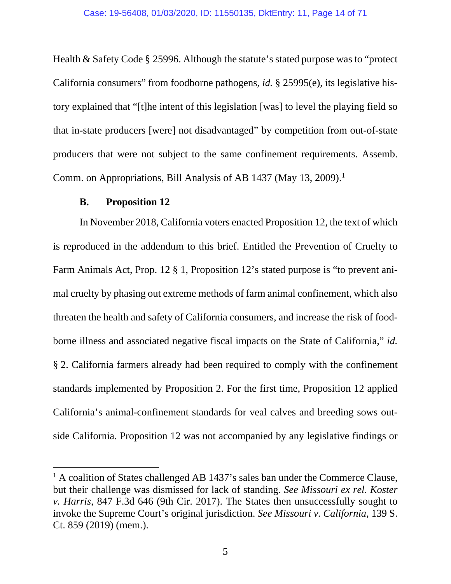<span id="page-13-0"></span>Health & Safety Code § 25996. Although the statute's stated purpose was to "protect California consumers" from foodborne pathogens, *id.* § 25995(e), its legislative history explained that "[t]he intent of this legislation [was] to level the playing field so that in-state producers [were] not disadvantaged" by competition from out-of-state producers that were not subject to the same confinement requirements. Assemb. Comm. on Appropriations, Bill Analysis of AB 1437 (May 13, 2009).<sup>1</sup>

### **B. Proposition 12**

 $\overline{a}$ 

In November 2018, California voters enacted Proposition 12, the text of which is reproduced in the addendum to this brief. Entitled the Prevention of Cruelty to Farm Animals Act, Prop. 12 § 1, Proposition 12's stated purpose is "to prevent animal cruelty by phasing out extreme methods of farm animal confinement, which also threaten the health and safety of California consumers, and increase the risk of foodborne illness and associated negative fiscal impacts on the State of California," *id.*  § 2. California farmers already had been required to comply with the confinement standards implemented by Proposition 2. For the first time, Proposition 12 applied California's animal-confinement standards for veal calves and breeding sows outside California. Proposition 12 was not accompanied by any legislative findings or

<sup>&</sup>lt;sup>1</sup> A coalition of States challenged AB 1437's sales ban under the Commerce Clause, but their challenge was dismissed for lack of standing. *See Missouri ex rel. Koster v. Harris*, 847 F.3d 646 (9th Cir. 2017). The States then unsuccessfully sought to invoke the Supreme Court's original jurisdiction. *See Missouri v. California*, 139 S. Ct. 859 (2019) (mem.).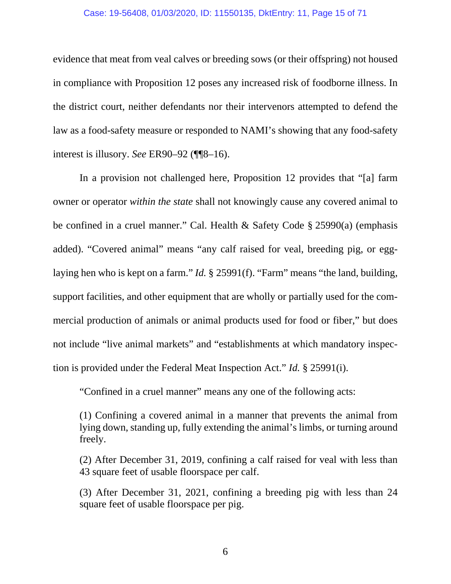#### Case: 19-56408, 01/03/2020, ID: 11550135, DktEntry: 11, Page 15 of 71

evidence that meat from veal calves or breeding sows (or their offspring) not housed in compliance with Proposition 12 poses any increased risk of foodborne illness. In the district court, neither defendants nor their intervenors attempted to defend the law as a food-safety measure or responded to NAMI's showing that any food-safety interest is illusory. *See* ER90–92 (¶¶8–16).

In a provision not challenged here, Proposition 12 provides that "[a] farm owner or operator *within the state* shall not knowingly cause any covered animal to be confined in a cruel manner." Cal. Health & Safety Code § 25990(a) (emphasis added). "Covered animal" means "any calf raised for veal, breeding pig, or egglaying hen who is kept on a farm." *Id.* § 25991(f). "Farm" means "the land, building, support facilities, and other equipment that are wholly or partially used for the commercial production of animals or animal products used for food or fiber," but does not include "live animal markets" and "establishments at which mandatory inspection is provided under the Federal Meat Inspection Act." *Id.* § 25991(i).

"Confined in a cruel manner" means any one of the following acts:

(1) Confining a covered animal in a manner that prevents the animal from lying down, standing up, fully extending the animal's limbs, or turning around freely.

(2) After December 31, 2019, confining a calf raised for veal with less than 43 square feet of usable floorspace per calf.

(3) After December 31, 2021, confining a breeding pig with less than 24 square feet of usable floorspace per pig.

6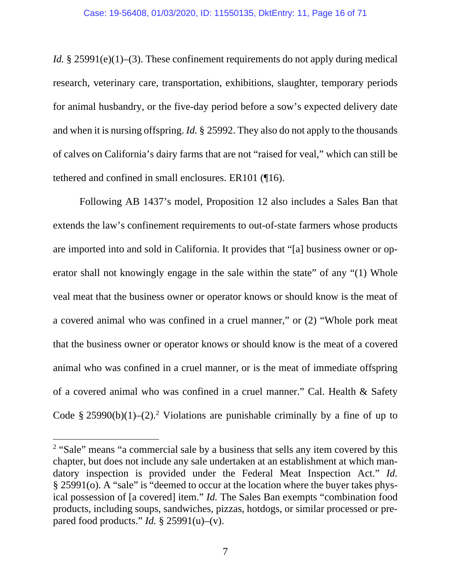*Id.* § 25991(e)(1)–(3). These confinement requirements do not apply during medical research, veterinary care, transportation, exhibitions, slaughter, temporary periods for animal husbandry, or the five-day period before a sow's expected delivery date and when it is nursing offspring. *Id.* § 25992. They also do not apply to the thousands of calves on California's dairy farms that are not "raised for veal," which can still be tethered and confined in small enclosures. ER101 (¶16).

Following AB 1437's model, Proposition 12 also includes a Sales Ban that extends the law's confinement requirements to out-of-state farmers whose products are imported into and sold in California. It provides that "[a] business owner or operator shall not knowingly engage in the sale within the state" of any "(1) Whole veal meat that the business owner or operator knows or should know is the meat of a covered animal who was confined in a cruel manner," or (2) "Whole pork meat that the business owner or operator knows or should know is the meat of a covered animal who was confined in a cruel manner, or is the meat of immediate offspring of a covered animal who was confined in a cruel manner." Cal. Health & Safety Code § 25990(b)(1)–(2).<sup>2</sup> Violations are punishable criminally by a fine of up to

<sup>&</sup>lt;sup>2</sup> "Sale" means "a commercial sale by a business that sells any item covered by this chapter, but does not include any sale undertaken at an establishment at which mandatory inspection is provided under the Federal Meat Inspection Act." *Id.* § 25991(o). A "sale" is "deemed to occur at the location where the buyer takes physical possession of [a covered] item." *Id.* The Sales Ban exempts "combination food products, including soups, sandwiches, pizzas, hotdogs, or similar processed or prepared food products." *Id.* § 25991(u)–(v).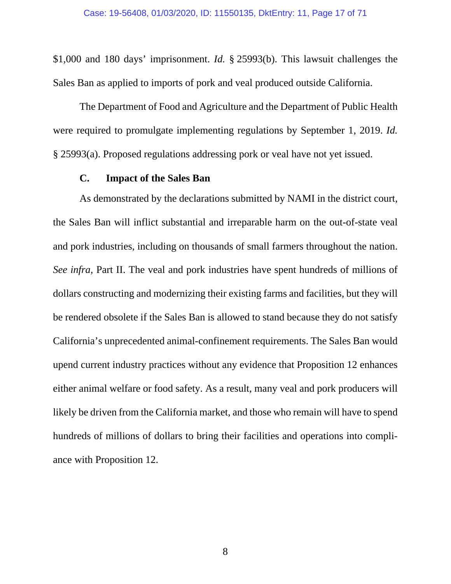<span id="page-16-0"></span>\$1,000 and 180 days' imprisonment. *Id.* § 25993(b). This lawsuit challenges the Sales Ban as applied to imports of pork and veal produced outside California.

The Department of Food and Agriculture and the Department of Public Health were required to promulgate implementing regulations by September 1, 2019. *Id.*  § 25993(a). Proposed regulations addressing pork or veal have not yet issued.

#### **C. Impact of the Sales Ban**

As demonstrated by the declarations submitted by NAMI in the district court, the Sales Ban will inflict substantial and irreparable harm on the out-of-state veal and pork industries, including on thousands of small farmers throughout the nation. *See infra*, Part II. The veal and pork industries have spent hundreds of millions of dollars constructing and modernizing their existing farms and facilities, but they will be rendered obsolete if the Sales Ban is allowed to stand because they do not satisfy California's unprecedented animal-confinement requirements. The Sales Ban would upend current industry practices without any evidence that Proposition 12 enhances either animal welfare or food safety. As a result, many veal and pork producers will likely be driven from the California market, and those who remain will have to spend hundreds of millions of dollars to bring their facilities and operations into compliance with Proposition 12.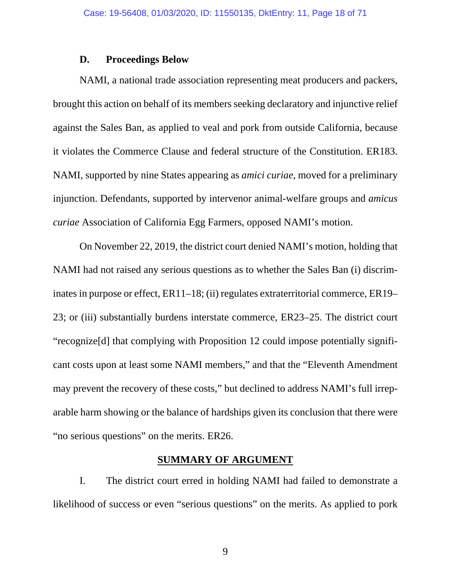#### **D. Proceedings Below**

<span id="page-17-0"></span>NAMI, a national trade association representing meat producers and packers, brought this action on behalf of its members seeking declaratory and injunctive relief against the Sales Ban, as applied to veal and pork from outside California, because it violates the Commerce Clause and federal structure of the Constitution. ER183. NAMI, supported by nine States appearing as *amici curiae*, moved for a preliminary injunction. Defendants, supported by intervenor animal-welfare groups and *amicus curiae* Association of California Egg Farmers, opposed NAMI's motion.

On November 22, 2019, the district court denied NAMI's motion, holding that NAMI had not raised any serious questions as to whether the Sales Ban (i) discriminates in purpose or effect, ER11–18; (ii) regulates extraterritorial commerce, ER19– 23; or (iii) substantially burdens interstate commerce, ER23–25. The district court "recognize[d] that complying with Proposition 12 could impose potentially significant costs upon at least some NAMI members," and that the "Eleventh Amendment may prevent the recovery of these costs," but declined to address NAMI's full irreparable harm showing or the balance of hardships given its conclusion that there were "no serious questions" on the merits. ER26.

### **SUMMARY OF ARGUMENT**

I. The district court erred in holding NAMI had failed to demonstrate a likelihood of success or even "serious questions" on the merits. As applied to pork

9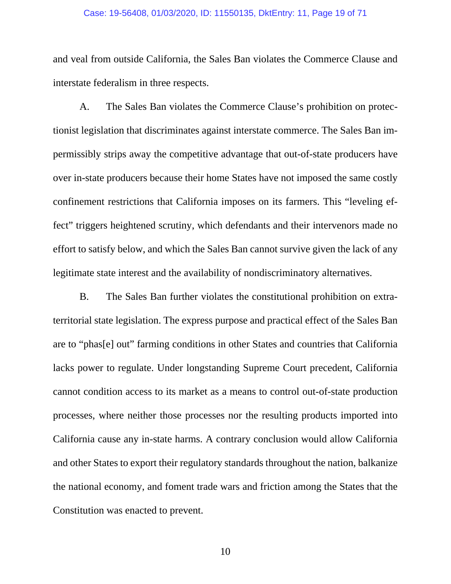#### Case: 19-56408, 01/03/2020, ID: 11550135, DktEntry: 11, Page 19 of 71

and veal from outside California, the Sales Ban violates the Commerce Clause and interstate federalism in three respects.

A. The Sales Ban violates the Commerce Clause's prohibition on protectionist legislation that discriminates against interstate commerce. The Sales Ban impermissibly strips away the competitive advantage that out-of-state producers have over in-state producers because their home States have not imposed the same costly confinement restrictions that California imposes on its farmers. This "leveling effect" triggers heightened scrutiny, which defendants and their intervenors made no effort to satisfy below, and which the Sales Ban cannot survive given the lack of any legitimate state interest and the availability of nondiscriminatory alternatives.

B. The Sales Ban further violates the constitutional prohibition on extraterritorial state legislation. The express purpose and practical effect of the Sales Ban are to "phas[e] out" farming conditions in other States and countries that California lacks power to regulate. Under longstanding Supreme Court precedent, California cannot condition access to its market as a means to control out-of-state production processes, where neither those processes nor the resulting products imported into California cause any in-state harms. A contrary conclusion would allow California and other States to export their regulatory standards throughout the nation, balkanize the national economy, and foment trade wars and friction among the States that the Constitution was enacted to prevent.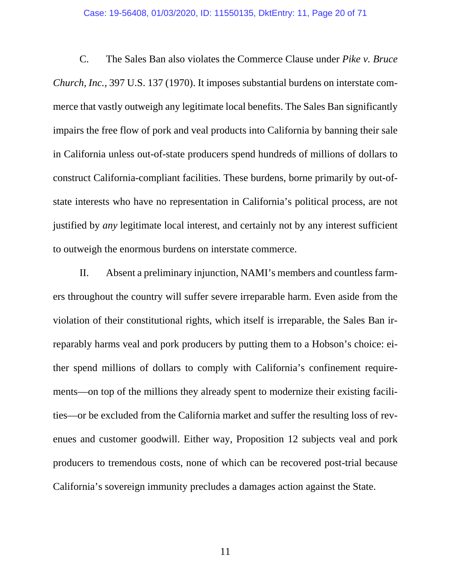#### Case: 19-56408, 01/03/2020, ID: 11550135, DktEntry: 11, Page 20 of 71

C. The Sales Ban also violates the Commerce Clause under *Pike v. Bruce Church, Inc.*, 397 U.S. 137 (1970). It imposes substantial burdens on interstate commerce that vastly outweigh any legitimate local benefits. The Sales Ban significantly impairs the free flow of pork and veal products into California by banning their sale in California unless out-of-state producers spend hundreds of millions of dollars to construct California-compliant facilities. These burdens, borne primarily by out-ofstate interests who have no representation in California's political process, are not justified by *any* legitimate local interest, and certainly not by any interest sufficient to outweigh the enormous burdens on interstate commerce.

II. Absent a preliminary injunction, NAMI's members and countless farmers throughout the country will suffer severe irreparable harm. Even aside from the violation of their constitutional rights, which itself is irreparable, the Sales Ban irreparably harms veal and pork producers by putting them to a Hobson's choice: either spend millions of dollars to comply with California's confinement requirements—on top of the millions they already spent to modernize their existing facilities—or be excluded from the California market and suffer the resulting loss of revenues and customer goodwill. Either way, Proposition 12 subjects veal and pork producers to tremendous costs, none of which can be recovered post-trial because California's sovereign immunity precludes a damages action against the State.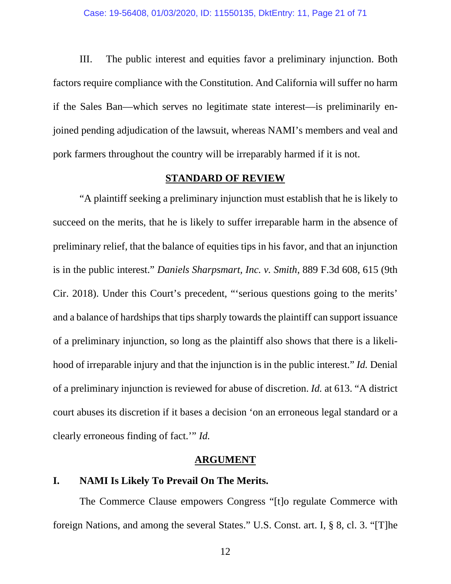<span id="page-20-0"></span>III. The public interest and equities favor a preliminary injunction. Both factors require compliance with the Constitution. And California will suffer no harm if the Sales Ban—which serves no legitimate state interest—is preliminarily enjoined pending adjudication of the lawsuit, whereas NAMI's members and veal and pork farmers throughout the country will be irreparably harmed if it is not.

#### **STANDARD OF REVIEW**

"A plaintiff seeking a preliminary injunction must establish that he is likely to succeed on the merits, that he is likely to suffer irreparable harm in the absence of preliminary relief, that the balance of equities tips in his favor, and that an injunction is in the public interest." *Daniels Sharpsmart, Inc. v. Smith*, 889 F.3d 608, 615 (9th Cir. 2018). Under this Court's precedent, "'serious questions going to the merits' and a balance of hardships that tips sharply towards the plaintiff can support issuance of a preliminary injunction, so long as the plaintiff also shows that there is a likelihood of irreparable injury and that the injunction is in the public interest." *Id.* Denial of a preliminary injunction is reviewed for abuse of discretion. *Id.* at 613. "A district court abuses its discretion if it bases a decision 'on an erroneous legal standard or a clearly erroneous finding of fact.'" *Id.* 

#### **ARGUMENT**

### **I. NAMI Is Likely To Prevail On The Merits.**

The Commerce Clause empowers Congress "[t]o regulate Commerce with foreign Nations, and among the several States." U.S. Const. art. I, § 8, cl. 3. "[T]he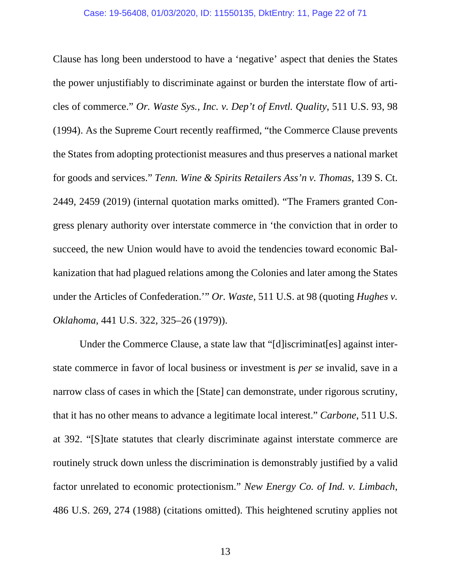Clause has long been understood to have a 'negative' aspect that denies the States the power unjustifiably to discriminate against or burden the interstate flow of articles of commerce." *Or. Waste Sys., Inc. v. Dep't of Envtl. Quality*, 511 U.S. 93, 98 (1994). As the Supreme Court recently reaffirmed, "the Commerce Clause prevents the States from adopting protectionist measures and thus preserves a national market for goods and services." *Tenn. Wine & Spirits Retailers Ass'n v. Thomas*, 139 S. Ct. 2449, 2459 (2019) (internal quotation marks omitted). "The Framers granted Congress plenary authority over interstate commerce in 'the conviction that in order to succeed, the new Union would have to avoid the tendencies toward economic Balkanization that had plagued relations among the Colonies and later among the States under the Articles of Confederation.'" *Or. Waste*, 511 U.S. at 98 (quoting *Hughes v. Oklahoma*, 441 U.S. 322, 325–26 (1979)).

Under the Commerce Clause, a state law that "[d]iscriminat[es] against interstate commerce in favor of local business or investment is *per se* invalid, save in a narrow class of cases in which the [State] can demonstrate, under rigorous scrutiny, that it has no other means to advance a legitimate local interest." *Carbone*, 511 U.S. at 392. "[S]tate statutes that clearly discriminate against interstate commerce are routinely struck down unless the discrimination is demonstrably justified by a valid factor unrelated to economic protectionism." *New Energy Co. of Ind. v. Limbach*, 486 U.S. 269, 274 (1988) (citations omitted). This heightened scrutiny applies not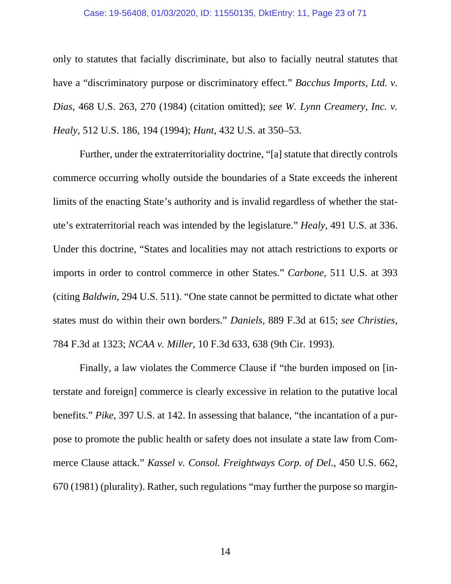#### Case: 19-56408, 01/03/2020, ID: 11550135, DktEntry: 11, Page 23 of 71

only to statutes that facially discriminate, but also to facially neutral statutes that have a "discriminatory purpose or discriminatory effect." *Bacchus Imports, Ltd. v. Dias*, 468 U.S. 263, 270 (1984) (citation omitted); *see W. Lynn Creamery, Inc. v. Healy*, 512 U.S. 186, 194 (1994); *Hunt*, 432 U.S. at 350–53.

Further, under the extraterritoriality doctrine, "[a] statute that directly controls commerce occurring wholly outside the boundaries of a State exceeds the inherent limits of the enacting State's authority and is invalid regardless of whether the statute's extraterritorial reach was intended by the legislature." *Healy*, 491 U.S. at 336. Under this doctrine, "States and localities may not attach restrictions to exports or imports in order to control commerce in other States." *Carbone*, 511 U.S. at 393 (citing *Baldwin*, 294 U.S. 511). "One state cannot be permitted to dictate what other states must do within their own borders." *Daniels*, 889 F.3d at 615; *see Christies*, 784 F.3d at 1323; *NCAA v. Miller*, 10 F.3d 633, 638 (9th Cir. 1993).

Finally, a law violates the Commerce Clause if "the burden imposed on [interstate and foreign] commerce is clearly excessive in relation to the putative local benefits." *Pike*, 397 U.S. at 142. In assessing that balance, "the incantation of a purpose to promote the public health or safety does not insulate a state law from Commerce Clause attack." *Kassel v. Consol. Freightways Corp. of Del.*, 450 U.S. 662, 670 (1981) (plurality). Rather, such regulations "may further the purpose so margin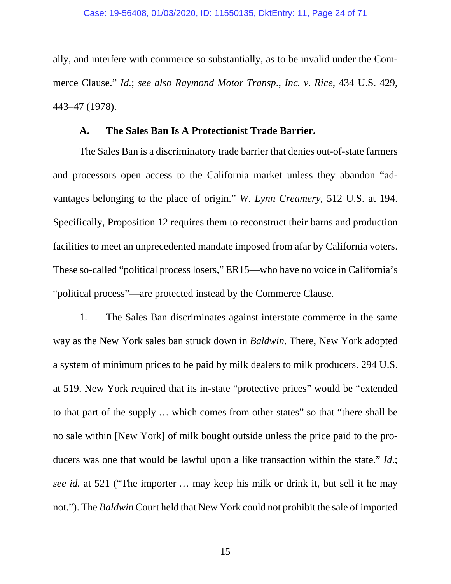<span id="page-23-0"></span>ally, and interfere with commerce so substantially, as to be invalid under the Commerce Clause." *Id.*; *see also Raymond Motor Transp*., *Inc. v. Rice*, 434 U.S. 429, 443–47 (1978).

### **A. The Sales Ban Is A Protectionist Trade Barrier.**

The Sales Ban is a discriminatory trade barrier that denies out-of-state farmers and processors open access to the California market unless they abandon "advantages belonging to the place of origin." *W. Lynn Creamery*, 512 U.S. at 194. Specifically, Proposition 12 requires them to reconstruct their barns and production facilities to meet an unprecedented mandate imposed from afar by California voters. These so-called "political process losers," ER15—who have no voice in California's "political process"—are protected instead by the Commerce Clause.

1. The Sales Ban discriminates against interstate commerce in the same way as the New York sales ban struck down in *Baldwin*. There, New York adopted a system of minimum prices to be paid by milk dealers to milk producers. 294 U.S. at 519. New York required that its in-state "protective prices" would be "extended to that part of the supply … which comes from other states" so that "there shall be no sale within [New York] of milk bought outside unless the price paid to the producers was one that would be lawful upon a like transaction within the state." *Id*.; *see id.* at 521 ("The importer … may keep his milk or drink it, but sell it he may not."). The *Baldwin* Court held that New York could not prohibit the sale of imported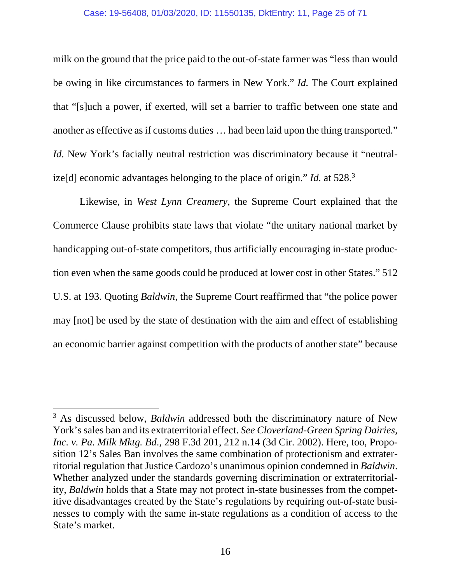#### Case: 19-56408, 01/03/2020, ID: 11550135, DktEntry: 11, Page 25 of 71

milk on the ground that the price paid to the out-of-state farmer was "less than would be owing in like circumstances to farmers in New York." *Id.* The Court explained that "[s]uch a power, if exerted, will set a barrier to traffic between one state and another as effective as if customs duties … had been laid upon the thing transported." *Id.* New York's facially neutral restriction was discriminatory because it "neutralize[d] economic advantages belonging to the place of origin." *Id.* at 528.3

Likewise, in *West Lynn Creamery*, the Supreme Court explained that the Commerce Clause prohibits state laws that violate "the unitary national market by handicapping out-of-state competitors, thus artificially encouraging in-state production even when the same goods could be produced at lower cost in other States." 512 U.S. at 193. Quoting *Baldwin*, the Supreme Court reaffirmed that "the police power may [not] be used by the state of destination with the aim and effect of establishing an economic barrier against competition with the products of another state" because

<sup>&</sup>lt;sup>3</sup> As discussed below, *Baldwin* addressed both the discriminatory nature of New York's sales ban and its extraterritorial effect. *See Cloverland-Green Spring Dairies, Inc. v. Pa. Milk Mktg. Bd*., 298 F.3d 201, 212 n.14 (3d Cir. 2002). Here, too, Proposition 12's Sales Ban involves the same combination of protectionism and extraterritorial regulation that Justice Cardozo's unanimous opinion condemned in *Baldwin*. Whether analyzed under the standards governing discrimination or extraterritoriality, *Baldwin* holds that a State may not protect in-state businesses from the competitive disadvantages created by the State's regulations by requiring out-of-state businesses to comply with the same in-state regulations as a condition of access to the State's market.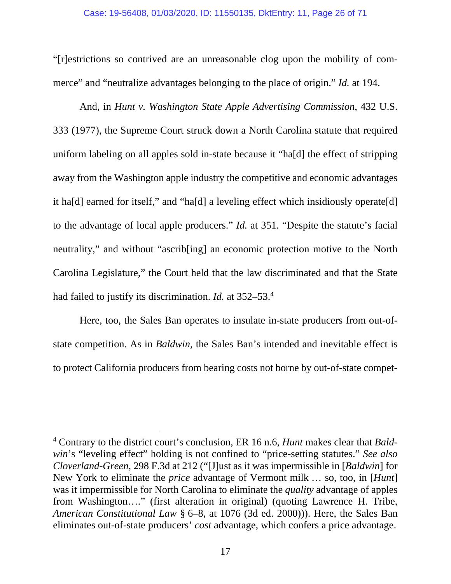#### Case: 19-56408, 01/03/2020, ID: 11550135, DktEntry: 11, Page 26 of 71

"[r]estrictions so contrived are an unreasonable clog upon the mobility of commerce" and "neutralize advantages belonging to the place of origin." *Id.* at 194.

And, in *Hunt v. Washington State Apple Advertising Commission*, 432 U.S. 333 (1977), the Supreme Court struck down a North Carolina statute that required uniform labeling on all apples sold in-state because it "ha[d] the effect of stripping away from the Washington apple industry the competitive and economic advantages it ha[d] earned for itself," and "ha[d] a leveling effect which insidiously operate[d] to the advantage of local apple producers." *Id.* at 351. "Despite the statute's facial neutrality," and without "ascrib[ing] an economic protection motive to the North Carolina Legislature," the Court held that the law discriminated and that the State had failed to justify its discrimination. *Id.* at 352–53.4

Here, too, the Sales Ban operates to insulate in-state producers from out-ofstate competition. As in *Baldwin*, the Sales Ban's intended and inevitable effect is to protect California producers from bearing costs not borne by out-of-state compet-

<sup>4</sup> Contrary to the district court's conclusion, ER 16 n.6, *Hunt* makes clear that *Baldwin*'s "leveling effect" holding is not confined to "price-setting statutes." *See also Cloverland-Green*, 298 F.3d at 212 ("[J]ust as it was impermissible in [*Baldwin*] for New York to eliminate the *price* advantage of Vermont milk … so, too, in [*Hunt*] was it impermissible for North Carolina to eliminate the *quality* advantage of apples from Washington…." (first alteration in original) (quoting Lawrence H. Tribe, *American Constitutional Law* § 6–8, at 1076 (3d ed. 2000))). Here, the Sales Ban eliminates out-of-state producers' *cost* advantage, which confers a price advantage.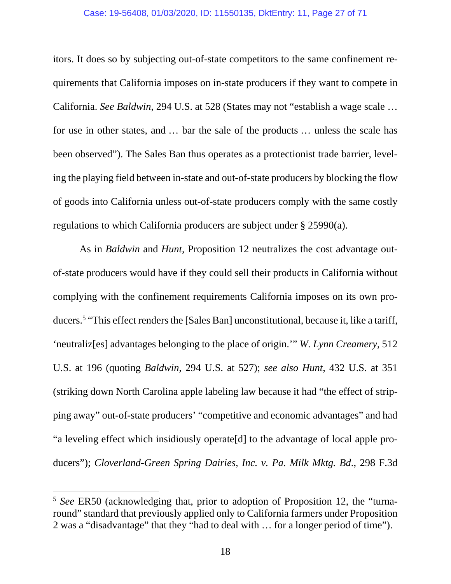#### Case: 19-56408, 01/03/2020, ID: 11550135, DktEntry: 11, Page 27 of 71

itors. It does so by subjecting out-of-state competitors to the same confinement requirements that California imposes on in-state producers if they want to compete in California. *See Baldwin*, 294 U.S. at 528 (States may not "establish a wage scale … for use in other states, and … bar the sale of the products … unless the scale has been observed"). The Sales Ban thus operates as a protectionist trade barrier, leveling the playing field between in-state and out-of-state producers by blocking the flow of goods into California unless out-of-state producers comply with the same costly regulations to which California producers are subject under § 25990(a).

As in *Baldwin* and *Hunt*, Proposition 12 neutralizes the cost advantage outof-state producers would have if they could sell their products in California without complying with the confinement requirements California imposes on its own producers.<sup>5</sup> "This effect renders the [Sales Ban] unconstitutional, because it, like a tariff, 'neutraliz[es] advantages belonging to the place of origin.'" *W. Lynn Creamery*, 512 U.S. at 196 (quoting *Baldwin*, 294 U.S. at 527); *see also Hunt*, 432 U.S. at 351 (striking down North Carolina apple labeling law because it had "the effect of stripping away" out-of-state producers' "competitive and economic advantages" and had "a leveling effect which insidiously operate[d] to the advantage of local apple producers"); *Cloverland-Green Spring Dairies, Inc. v. Pa. Milk Mktg. Bd*., 298 F.3d

<sup>5</sup> *See* ER50 (acknowledging that, prior to adoption of Proposition 12, the "turnaround" standard that previously applied only to California farmers under Proposition 2 was a "disadvantage" that they "had to deal with … for a longer period of time").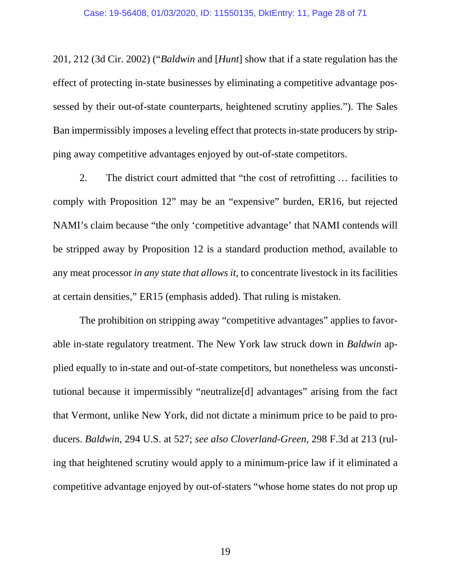201, 212 (3d Cir. 2002) ("*Baldwin* and [*Hunt*] show that if a state regulation has the effect of protecting in-state businesses by eliminating a competitive advantage possessed by their out-of-state counterparts, heightened scrutiny applies."). The Sales Ban impermissibly imposes a leveling effect that protects in-state producers by stripping away competitive advantages enjoyed by out-of-state competitors.

2. The district court admitted that "the cost of retrofitting … facilities to comply with Proposition 12" may be an "expensive" burden, ER16, but rejected NAMI's claim because "the only 'competitive advantage' that NAMI contends will be stripped away by Proposition 12 is a standard production method, available to any meat processor *in any state that allows it*, to concentrate livestock in its facilities at certain densities," ER15 (emphasis added). That ruling is mistaken.

The prohibition on stripping away "competitive advantages" applies to favorable in-state regulatory treatment. The New York law struck down in *Baldwin* applied equally to in-state and out-of-state competitors, but nonetheless was unconstitutional because it impermissibly "neutralize[d] advantages" arising from the fact that Vermont, unlike New York, did not dictate a minimum price to be paid to producers. *Baldwin*, 294 U.S. at 527; *see also Cloverland-Green*, 298 F.3d at 213 (ruling that heightened scrutiny would apply to a minimum-price law if it eliminated a competitive advantage enjoyed by out-of-staters "whose home states do not prop up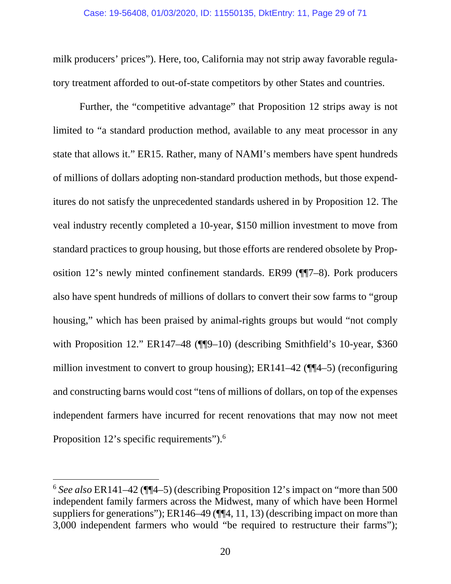milk producers' prices"). Here, too, California may not strip away favorable regulatory treatment afforded to out-of-state competitors by other States and countries.

Further, the "competitive advantage" that Proposition 12 strips away is not limited to "a standard production method, available to any meat processor in any state that allows it." ER15. Rather, many of NAMI's members have spent hundreds of millions of dollars adopting non-standard production methods, but those expenditures do not satisfy the unprecedented standards ushered in by Proposition 12. The veal industry recently completed a 10-year, \$150 million investment to move from standard practices to group housing, but those efforts are rendered obsolete by Proposition 12's newly minted confinement standards. ER99 (¶¶7–8). Pork producers also have spent hundreds of millions of dollars to convert their sow farms to "group housing," which has been praised by animal-rights groups but would "not comply with Proposition 12." ER147–48 (¶[9–10) (describing Smithfield's 10-year, \$360 million investment to convert to group housing); ER141–42 (¶¶4–5) (reconfiguring and constructing barns would cost "tens of millions of dollars, on top of the expenses independent farmers have incurred for recent renovations that may now not meet Proposition 12's specific requirements").<sup>6</sup>

<sup>6</sup> *See also* ER141–42 (¶¶4–5) (describing Proposition 12's impact on "more than 500 independent family farmers across the Midwest, many of which have been Hormel suppliers for generations"); ER146–49 (¶¶4, 11, 13) (describing impact on more than 3,000 independent farmers who would "be required to restructure their farms");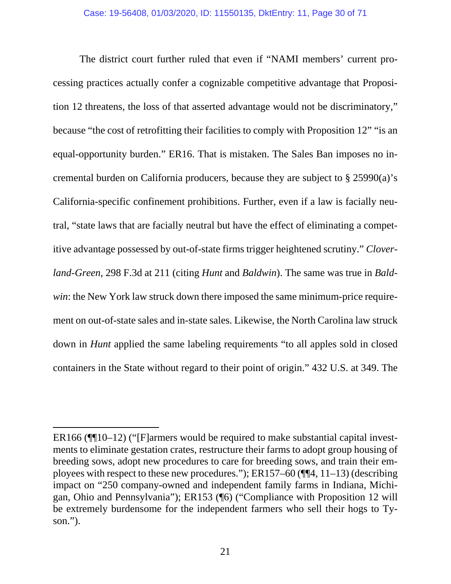The district court further ruled that even if "NAMI members' current processing practices actually confer a cognizable competitive advantage that Proposition 12 threatens, the loss of that asserted advantage would not be discriminatory," because "the cost of retrofitting their facilities to comply with Proposition 12" "is an equal-opportunity burden." ER16. That is mistaken. The Sales Ban imposes no incremental burden on California producers, because they are subject to § 25990(a)'s California-specific confinement prohibitions. Further, even if a law is facially neutral, "state laws that are facially neutral but have the effect of eliminating a competitive advantage possessed by out-of-state firms trigger heightened scrutiny." *Cloverland*-*Green*, 298 F.3d at 211 (citing *Hunt* and *Baldwin*). The same was true in *Baldwin*: the New York law struck down there imposed the same minimum-price requirement on out-of-state sales and in-state sales. Likewise, the North Carolina law struck down in *Hunt* applied the same labeling requirements "to all apples sold in closed containers in the State without regard to their point of origin." 432 U.S. at 349. The

ER166 (¶¶10–12) ("[F]armers would be required to make substantial capital investments to eliminate gestation crates, restructure their farms to adopt group housing of breeding sows, adopt new procedures to care for breeding sows, and train their employees with respect to these new procedures."); ER157–60 (¶¶4, 11–13) (describing impact on "250 company-owned and independent family farms in Indiana, Michigan, Ohio and Pennsylvania"); ER153 (¶6) ("Compliance with Proposition 12 will be extremely burdensome for the independent farmers who sell their hogs to Tyson.").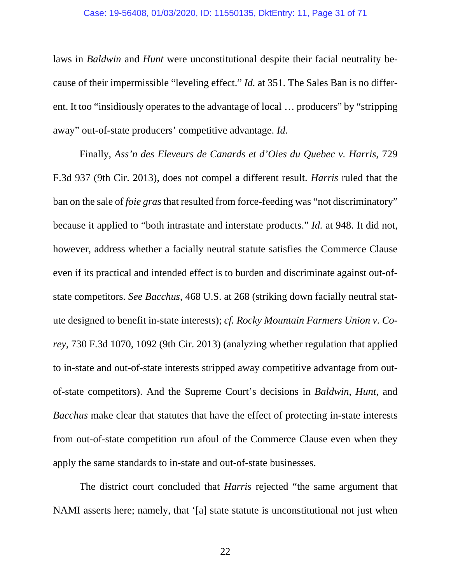#### Case: 19-56408, 01/03/2020, ID: 11550135, DktEntry: 11, Page 31 of 71

laws in *Baldwin* and *Hunt* were unconstitutional despite their facial neutrality because of their impermissible "leveling effect." *Id.* at 351. The Sales Ban is no different. It too "insidiously operates to the advantage of local … producers" by "stripping away" out-of-state producers' competitive advantage. *Id.*

Finally, *Ass'n des Eleveurs de Canards et d'Oies du Quebec v. Harris*, 729 F.3d 937 (9th Cir. 2013), does not compel a different result. *Harris* ruled that the ban on the sale of *foie gras* that resulted from force-feeding was "not discriminatory" because it applied to "both intrastate and interstate products." *Id.* at 948. It did not, however, address whether a facially neutral statute satisfies the Commerce Clause even if its practical and intended effect is to burden and discriminate against out-ofstate competitors. *See Bacchus*, 468 U.S. at 268 (striking down facially neutral statute designed to benefit in-state interests); *cf. Rocky Mountain Farmers Union v. Corey*, 730 F.3d 1070, 1092 (9th Cir. 2013) (analyzing whether regulation that applied to in-state and out-of-state interests stripped away competitive advantage from outof-state competitors). And the Supreme Court's decisions in *Baldwin*, *Hunt*, and *Bacchus* make clear that statutes that have the effect of protecting in-state interests from out-of-state competition run afoul of the Commerce Clause even when they apply the same standards to in-state and out-of-state businesses.

The district court concluded that *Harris* rejected "the same argument that NAMI asserts here; namely, that '[a] state statute is unconstitutional not just when

22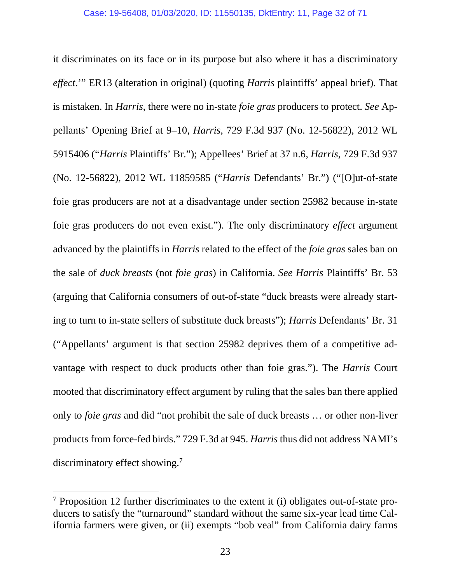it discriminates on its face or in its purpose but also where it has a discriminatory *effect*.'" ER13 (alteration in original) (quoting *Harris* plaintiffs' appeal brief). That is mistaken. In *Harris*, there were no in-state *foie gras* producers to protect. *See* Appellants' Opening Brief at 9–10, *Harris*, 729 F.3d 937 (No. 12-56822), 2012 WL 5915406 ("*Harris* Plaintiffs' Br."); Appellees' Brief at 37 n.6, *Harris*, 729 F.3d 937 (No. 12-56822), 2012 WL 11859585 ("*Harris* Defendants' Br.") ("[O]ut-of-state foie gras producers are not at a disadvantage under section 25982 because in-state foie gras producers do not even exist."). The only discriminatory *effect* argument advanced by the plaintiffs in *Harris* related to the effect of the *foie gras* sales ban on the sale of *duck breasts* (not *foie gras*) in California. *See Harris* Plaintiffs' Br. 53 (arguing that California consumers of out-of-state "duck breasts were already starting to turn to in-state sellers of substitute duck breasts"); *Harris* Defendants' Br. 31 ("Appellants' argument is that section 25982 deprives them of a competitive advantage with respect to duck products other than foie gras."). The *Harris* Court mooted that discriminatory effect argument by ruling that the sales ban there applied only to *foie gras* and did "not prohibit the sale of duck breasts … or other non-liver products from force-fed birds." 729 F.3d at 945. *Harris* thus did not address NAMI's discriminatory effect showing.<sup>7</sup>

<sup>&</sup>lt;sup>7</sup> Proposition 12 further discriminates to the extent it (i) obligates out-of-state producers to satisfy the "turnaround" standard without the same six-year lead time California farmers were given, or (ii) exempts "bob veal" from California dairy farms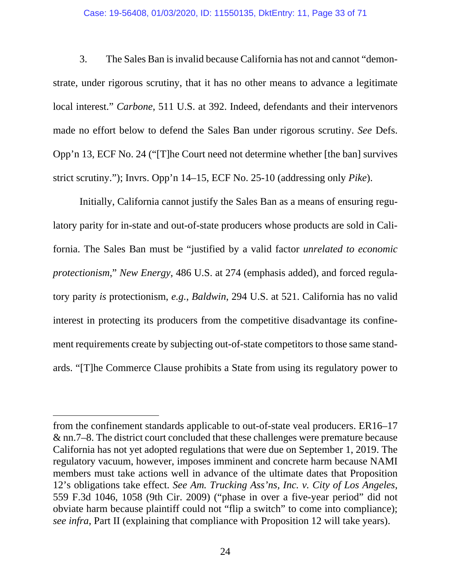#### Case: 19-56408, 01/03/2020, ID: 11550135, DktEntry: 11, Page 33 of 71

3. The Sales Ban is invalid because California has not and cannot "demonstrate, under rigorous scrutiny, that it has no other means to advance a legitimate local interest." *Carbone*, 511 U.S. at 392. Indeed, defendants and their intervenors made no effort below to defend the Sales Ban under rigorous scrutiny. *See* Defs. Opp'n 13, ECF No. 24 ("[T]he Court need not determine whether [the ban] survives strict scrutiny."); Invrs. Opp'n 14–15, ECF No. 25-10 (addressing only *Pike*).

Initially, California cannot justify the Sales Ban as a means of ensuring regulatory parity for in-state and out-of-state producers whose products are sold in California. The Sales Ban must be "justified by a valid factor *unrelated to economic protectionism*," *New Energy*, 486 U.S. at 274 (emphasis added), and forced regulatory parity *is* protectionism, *e.g.*, *Baldwin*, 294 U.S. at 521. California has no valid interest in protecting its producers from the competitive disadvantage its confinement requirements create by subjecting out-of-state competitors to those same standards. "[T]he Commerce Clause prohibits a State from using its regulatory power to

from the confinement standards applicable to out-of-state veal producers. ER16–17 & nn.7–8. The district court concluded that these challenges were premature because California has not yet adopted regulations that were due on September 1, 2019. The regulatory vacuum, however, imposes imminent and concrete harm because NAMI members must take actions well in advance of the ultimate dates that Proposition 12's obligations take effect. *See Am. Trucking Ass'ns, Inc. v. City of Los Angeles*, 559 F.3d 1046, 1058 (9th Cir. 2009) ("phase in over a five-year period" did not obviate harm because plaintiff could not "flip a switch" to come into compliance); *see infra*, Part II (explaining that compliance with Proposition 12 will take years).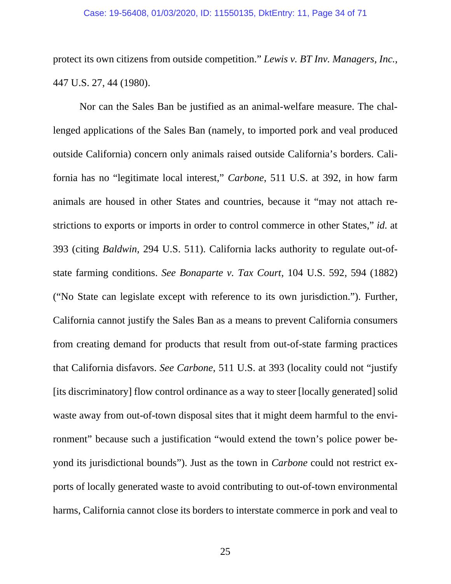#### Case: 19-56408, 01/03/2020, ID: 11550135, DktEntry: 11, Page 34 of 71

protect its own citizens from outside competition." *Lewis v. BT Inv. Managers, Inc.*, 447 U.S. 27, 44 (1980).

Nor can the Sales Ban be justified as an animal-welfare measure. The challenged applications of the Sales Ban (namely, to imported pork and veal produced outside California) concern only animals raised outside California's borders. California has no "legitimate local interest," *Carbone*, 511 U.S. at 392, in how farm animals are housed in other States and countries, because it "may not attach restrictions to exports or imports in order to control commerce in other States," *id.* at 393 (citing *Baldwin*, 294 U.S. 511). California lacks authority to regulate out-ofstate farming conditions. *See Bonaparte v. Tax Court*, 104 U.S. 592, 594 (1882) ("No State can legislate except with reference to its own jurisdiction."). Further, California cannot justify the Sales Ban as a means to prevent California consumers from creating demand for products that result from out-of-state farming practices that California disfavors. *See Carbone*, 511 U.S. at 393 (locality could not "justify [its discriminatory] flow control ordinance as a way to steer [locally generated] solid waste away from out-of-town disposal sites that it might deem harmful to the environment" because such a justification "would extend the town's police power beyond its jurisdictional bounds"). Just as the town in *Carbone* could not restrict exports of locally generated waste to avoid contributing to out-of-town environmental harms, California cannot close its borders to interstate commerce in pork and veal to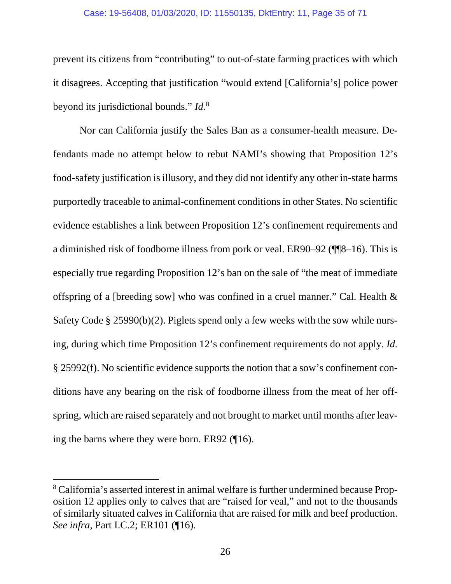#### Case: 19-56408, 01/03/2020, ID: 11550135, DktEntry: 11, Page 35 of 71

prevent its citizens from "contributing" to out-of-state farming practices with which it disagrees. Accepting that justification "would extend [California's] police power beyond its jurisdictional bounds." *Id.*<sup>8</sup>

Nor can California justify the Sales Ban as a consumer-health measure. Defendants made no attempt below to rebut NAMI's showing that Proposition 12's food-safety justification is illusory, and they did not identify any other in-state harms purportedly traceable to animal-confinement conditions in other States. No scientific evidence establishes a link between Proposition 12's confinement requirements and a diminished risk of foodborne illness from pork or veal. ER90–92 (¶¶8–16). This is especially true regarding Proposition 12's ban on the sale of "the meat of immediate offspring of a [breeding sow] who was confined in a cruel manner." Cal. Health & Safety Code § 25990(b)(2). Piglets spend only a few weeks with the sow while nursing, during which time Proposition 12's confinement requirements do not apply. *Id.*  § 25992(f). No scientific evidence supports the notion that a sow's confinement conditions have any bearing on the risk of foodborne illness from the meat of her offspring, which are raised separately and not brought to market until months after leaving the barns where they were born. ER92 (¶16).

<sup>&</sup>lt;sup>8</sup> California's asserted interest in animal welfare is further undermined because Proposition 12 applies only to calves that are "raised for veal," and not to the thousands of similarly situated calves in California that are raised for milk and beef production. *See infra*, Part I.C.2; ER101 (¶16).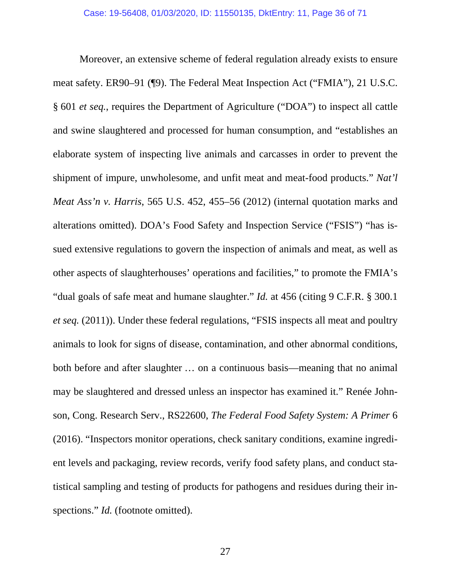Moreover, an extensive scheme of federal regulation already exists to ensure meat safety. ER90–91 (¶9). The Federal Meat Inspection Act ("FMIA"), 21 U.S.C. § 601 *et seq.*, requires the Department of Agriculture ("DOA") to inspect all cattle and swine slaughtered and processed for human consumption, and "establishes an elaborate system of inspecting live animals and carcasses in order to prevent the shipment of impure, unwholesome, and unfit meat and meat-food products." *Nat'l Meat Ass'n v. Harris*, 565 U.S. 452, 455–56 (2012) (internal quotation marks and alterations omitted). DOA's Food Safety and Inspection Service ("FSIS") "has issued extensive regulations to govern the inspection of animals and meat, as well as other aspects of slaughterhouses' operations and facilities," to promote the FMIA's "dual goals of safe meat and humane slaughter." *Id.* at 456 (citing 9 C.F.R. § 300.1 *et seq.* (2011)). Under these federal regulations, "FSIS inspects all meat and poultry animals to look for signs of disease, contamination, and other abnormal conditions, both before and after slaughter … on a continuous basis—meaning that no animal may be slaughtered and dressed unless an inspector has examined it." Renée Johnson, Cong. Research Serv., RS22600, *The Federal Food Safety System: A Primer* 6 (2016). "Inspectors monitor operations, check sanitary conditions, examine ingredient levels and packaging, review records, verify food safety plans, and conduct statistical sampling and testing of products for pathogens and residues during their inspections." *Id.* (footnote omitted).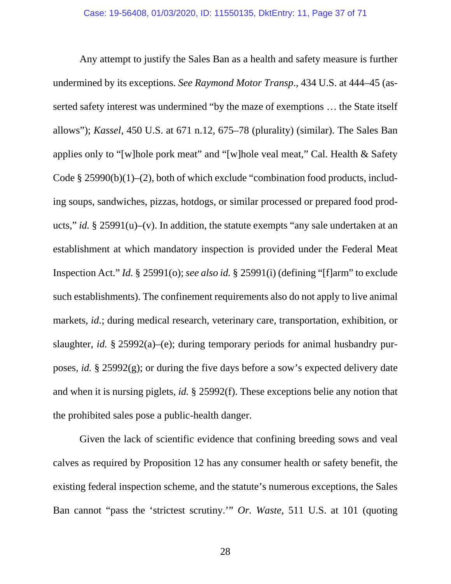Any attempt to justify the Sales Ban as a health and safety measure is further undermined by its exceptions. *See Raymond Motor Transp*., 434 U.S. at 444–45 (asserted safety interest was undermined "by the maze of exemptions … the State itself allows"); *Kassel*, 450 U.S. at 671 n.12, 675–78 (plurality) (similar). The Sales Ban applies only to "[w]hole pork meat" and "[w]hole veal meat," Cal. Health & Safety Code § 25990(b)(1)–(2), both of which exclude "combination food products, including soups, sandwiches, pizzas, hotdogs, or similar processed or prepared food products," *id.* § 25991(u)–(v). In addition, the statute exempts "any sale undertaken at an establishment at which mandatory inspection is provided under the Federal Meat Inspection Act." *Id.* § 25991(o); *see also id.* § 25991(i) (defining "[f]arm" to exclude such establishments). The confinement requirements also do not apply to live animal markets, *id.*; during medical research, veterinary care, transportation, exhibition, or slaughter, *id.* § 25992(a)–(e); during temporary periods for animal husbandry purposes, *id.* § 25992(g); or during the five days before a sow's expected delivery date and when it is nursing piglets, *id.* § 25992(f). These exceptions belie any notion that the prohibited sales pose a public-health danger.

Given the lack of scientific evidence that confining breeding sows and veal calves as required by Proposition 12 has any consumer health or safety benefit, the existing federal inspection scheme, and the statute's numerous exceptions, the Sales Ban cannot "pass the 'strictest scrutiny.'" *Or. Waste*, 511 U.S. at 101 (quoting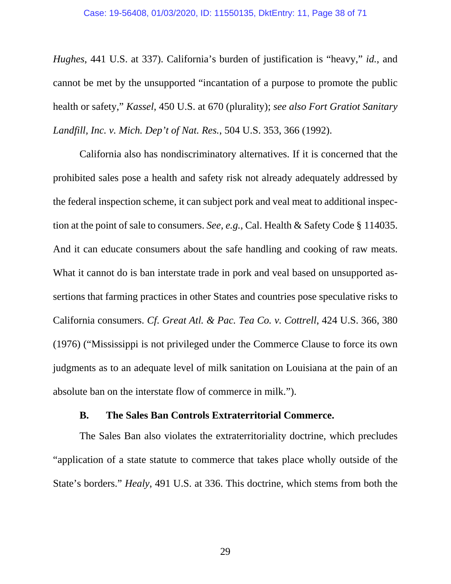<span id="page-37-0"></span>*Hughes*, 441 U.S. at 337). California's burden of justification is "heavy," *id.*, and cannot be met by the unsupported "incantation of a purpose to promote the public health or safety," *Kassel*, 450 U.S. at 670 (plurality); *see also Fort Gratiot Sanitary Landfill, Inc. v. Mich. Dep't of Nat. Res.*, 504 U.S. 353, 366 (1992).

California also has nondiscriminatory alternatives. If it is concerned that the prohibited sales pose a health and safety risk not already adequately addressed by the federal inspection scheme, it can subject pork and veal meat to additional inspection at the point of sale to consumers. *See, e.g.*, Cal. Health & Safety Code § 114035. And it can educate consumers about the safe handling and cooking of raw meats. What it cannot do is ban interstate trade in pork and veal based on unsupported assertions that farming practices in other States and countries pose speculative risks to California consumers. *Cf*. *Great Atl. & Pac. Tea Co. v. Cottrell*, 424 U.S. 366, 380 (1976) ("Mississippi is not privileged under the Commerce Clause to force its own judgments as to an adequate level of milk sanitation on Louisiana at the pain of an absolute ban on the interstate flow of commerce in milk.").

#### **B. The Sales Ban Controls Extraterritorial Commerce.**

The Sales Ban also violates the extraterritoriality doctrine, which precludes "application of a state statute to commerce that takes place wholly outside of the State's borders." *Healy*, 491 U.S. at 336. This doctrine, which stems from both the

29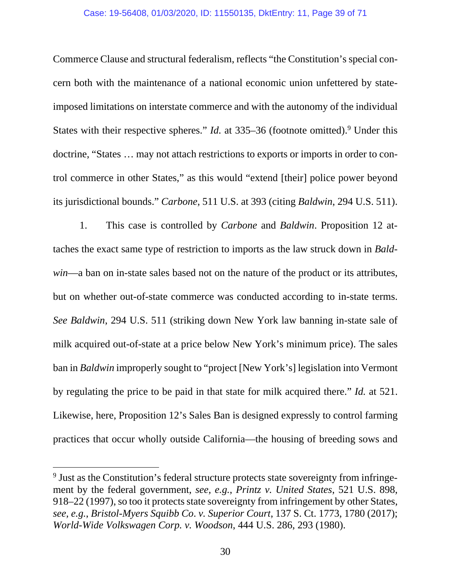#### Case: 19-56408, 01/03/2020, ID: 11550135, DktEntry: 11, Page 39 of 71

Commerce Clause and structural federalism, reflects "the Constitution's special concern both with the maintenance of a national economic union unfettered by stateimposed limitations on interstate commerce and with the autonomy of the individual States with their respective spheres." *Id.* at 335–36 (footnote omitted).<sup>9</sup> Under this doctrine, "States … may not attach restrictions to exports or imports in order to control commerce in other States," as this would "extend [their] police power beyond its jurisdictional bounds." *Carbone*, 511 U.S. at 393 (citing *Baldwin*, 294 U.S. 511).

1. This case is controlled by *Carbone* and *Baldwin*. Proposition 12 attaches the exact same type of restriction to imports as the law struck down in *Baldwin*—a ban on in-state sales based not on the nature of the product or its attributes, but on whether out-of-state commerce was conducted according to in-state terms. *See Baldwin*, 294 U.S. 511 (striking down New York law banning in-state sale of milk acquired out-of-state at a price below New York's minimum price). The sales ban in *Baldwin* improperly sought to "project [New York's] legislation into Vermont by regulating the price to be paid in that state for milk acquired there." *Id.* at 521. Likewise, here, Proposition 12's Sales Ban is designed expressly to control farming practices that occur wholly outside California—the housing of breeding sows and

<sup>&</sup>lt;sup>9</sup> Just as the Constitution's federal structure protects state sovereignty from infringement by the federal government, *see, e.g.*, *Printz v. United States*, 521 U.S. 898, 918–22 (1997), so too it protects state sovereignty from infringement by other States, *see, e.g.*, *Bristol-Myers Squibb Co*. *v. Superior Court*, 137 S. Ct. 1773, 1780 (2017); *World-Wide Volkswagen Corp. v. Woodson*, 444 U.S. 286, 293 (1980).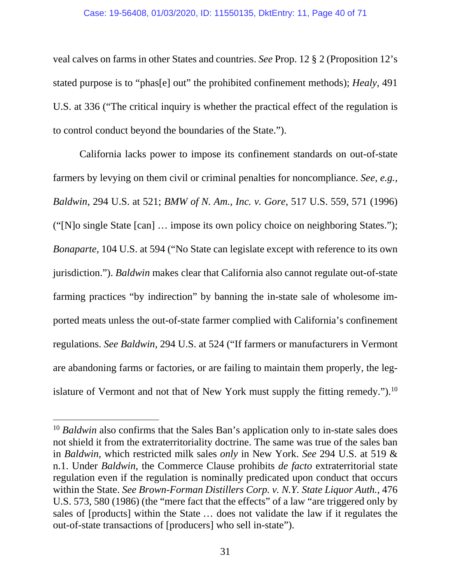#### Case: 19-56408, 01/03/2020, ID: 11550135, DktEntry: 11, Page 40 of 71

veal calves on farms in other States and countries. *See* Prop. 12 § 2 (Proposition 12's stated purpose is to "phas[e] out" the prohibited confinement methods); *Healy*, 491 U.S. at 336 ("The critical inquiry is whether the practical effect of the regulation is to control conduct beyond the boundaries of the State.").

California lacks power to impose its confinement standards on out-of-state farmers by levying on them civil or criminal penalties for noncompliance. *See, e.g.*, *Baldwin*, 294 U.S. at 521; *BMW of N. Am., Inc. v. Gore*, 517 U.S. 559, 571 (1996) ("[N]o single State [can] … impose its own policy choice on neighboring States."); *Bonaparte*, 104 U.S. at 594 ("No State can legislate except with reference to its own jurisdiction."). *Baldwin* makes clear that California also cannot regulate out-of-state farming practices "by indirection" by banning the in-state sale of wholesome imported meats unless the out-of-state farmer complied with California's confinement regulations. *See Baldwin*, 294 U.S. at 524 ("If farmers or manufacturers in Vermont are abandoning farms or factories, or are failing to maintain them properly, the legislature of Vermont and not that of New York must supply the fitting remedy." $b$ .<sup>10</sup>

<sup>&</sup>lt;sup>10</sup> *Baldwin* also confirms that the Sales Ban's application only to in-state sales does not shield it from the extraterritoriality doctrine. The same was true of the sales ban in *Baldwin*, which restricted milk sales *only* in New York. *See* 294 U.S. at 519 & n.1. Under *Baldwin*, the Commerce Clause prohibits *de facto* extraterritorial state regulation even if the regulation is nominally predicated upon conduct that occurs within the State. *See Brown-Forman Distillers Corp. v. N.Y. State Liquor Auth.*, 476 U.S. 573, 580 (1986) (the "mere fact that the effects" of a law "are triggered only by sales of [products] within the State … does not validate the law if it regulates the out-of-state transactions of [producers] who sell in-state").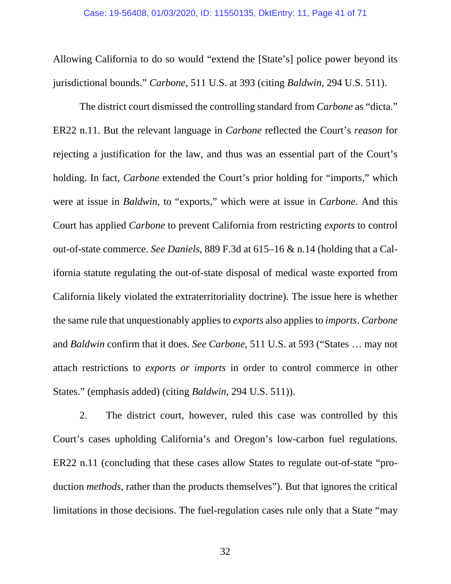Allowing California to do so would "extend the [State's] police power beyond its jurisdictional bounds." *Carbone*, 511 U.S. at 393 (citing *Baldwin*, 294 U.S. 511).

The district court dismissed the controlling standard from *Carbone* as "dicta." ER22 n.11. But the relevant language in *Carbone* reflected the Court's *reason* for rejecting a justification for the law, and thus was an essential part of the Court's holding. In fact, *Carbone* extended the Court's prior holding for "imports," which were at issue in *Baldwin*, to "exports," which were at issue in *Carbone*. And this Court has applied *Carbone* to prevent California from restricting *exports* to control out-of-state commerce. *See Daniels*, 889 F.3d at 615–16 & n.14 (holding that a California statute regulating the out-of-state disposal of medical waste exported from California likely violated the extraterritoriality doctrine). The issue here is whether the same rule that unquestionably applies to *exports* also applies to *imports*. *Carbone* and *Baldwin* confirm that it does. *See Carbone*, 511 U.S. at 593 ("States … may not attach restrictions to *exports or imports* in order to control commerce in other States." (emphasis added) (citing *Baldwin*, 294 U.S. 511)).

2. The district court, however, ruled this case was controlled by this Court's cases upholding California's and Oregon's low-carbon fuel regulations. ER22 n.11 (concluding that these cases allow States to regulate out-of-state "production *methods*, rather than the products themselves"). But that ignores the critical limitations in those decisions. The fuel-regulation cases rule only that a State "may

32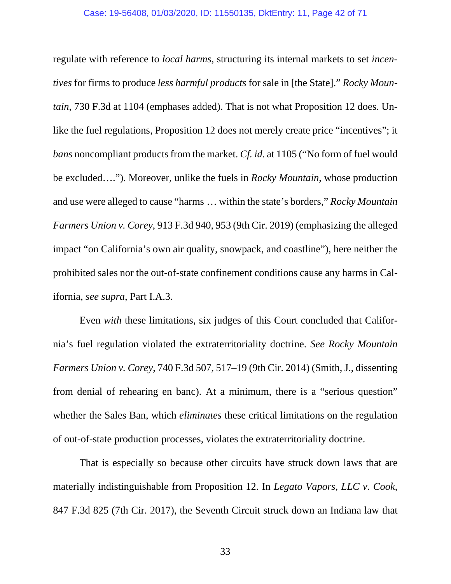#### Case: 19-56408, 01/03/2020, ID: 11550135, DktEntry: 11, Page 42 of 71

regulate with reference to *local harms*, structuring its internal markets to set *incentives* for firms to produce *less harmful products* for sale in [the State]." *Rocky Mountain*, 730 F.3d at 1104 (emphases added). That is not what Proposition 12 does. Unlike the fuel regulations, Proposition 12 does not merely create price "incentives"; it *bans* noncompliant products from the market. *Cf. id.* at 1105 ("No form of fuel would be excluded…."). Moreover, unlike the fuels in *Rocky Mountain*, whose production and use were alleged to cause "harms … within the state's borders," *Rocky Mountain Farmers Union v. Corey*, 913 F.3d 940, 953 (9th Cir. 2019) (emphasizing the alleged impact "on California's own air quality, snowpack, and coastline"), here neither the prohibited sales nor the out-of-state confinement conditions cause any harms in California, *see supra*, Part I.A.3.

Even *with* these limitations, six judges of this Court concluded that California's fuel regulation violated the extraterritoriality doctrine. *See Rocky Mountain Farmers Union v. Corey*, 740 F.3d 507, 517–19 (9th Cir. 2014) (Smith, J., dissenting from denial of rehearing en banc). At a minimum, there is a "serious question" whether the Sales Ban, which *eliminates* these critical limitations on the regulation of out-of-state production processes, violates the extraterritoriality doctrine.

That is especially so because other circuits have struck down laws that are materially indistinguishable from Proposition 12. In *Legato Vapors, LLC v. Cook*, 847 F.3d 825 (7th Cir. 2017), the Seventh Circuit struck down an Indiana law that

33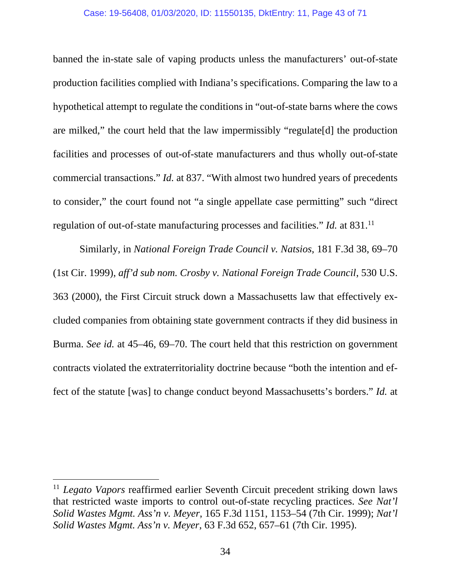#### Case: 19-56408, 01/03/2020, ID: 11550135, DktEntry: 11, Page 43 of 71

banned the in-state sale of vaping products unless the manufacturers' out-of-state production facilities complied with Indiana's specifications. Comparing the law to a hypothetical attempt to regulate the conditions in "out-of-state barns where the cows are milked," the court held that the law impermissibly "regulate[d] the production facilities and processes of out-of-state manufacturers and thus wholly out-of-state commercial transactions." *Id.* at 837. "With almost two hundred years of precedents to consider," the court found not "a single appellate case permitting" such "direct regulation of out-of-state manufacturing processes and facilities." *Id.* at 831.<sup>11</sup>

Similarly, in *National Foreign Trade Council v. Natsios*, 181 F.3d 38, 69–70 (1st Cir. 1999), *aff'd sub nom. Crosby v. National Foreign Trade Council*, 530 U.S. 363 (2000), the First Circuit struck down a Massachusetts law that effectively excluded companies from obtaining state government contracts if they did business in Burma. *See id.* at 45–46, 69–70. The court held that this restriction on government contracts violated the extraterritoriality doctrine because "both the intention and effect of the statute [was] to change conduct beyond Massachusetts's borders." *Id.* at

<sup>&</sup>lt;sup>11</sup> *Legato Vapors* reaffirmed earlier Seventh Circuit precedent striking down laws that restricted waste imports to control out-of-state recycling practices. *See Nat'l Solid Wastes Mgmt. Ass'n v. Meyer*, 165 F.3d 1151, 1153–54 (7th Cir. 1999); *Nat'l Solid Wastes Mgmt. Ass'n v. Meyer*, 63 F.3d 652, 657–61 (7th Cir. 1995).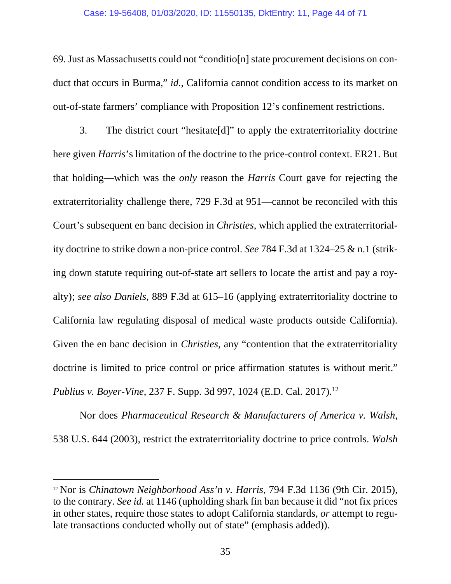#### Case: 19-56408, 01/03/2020, ID: 11550135, DktEntry: 11, Page 44 of 71

69. Just as Massachusetts could not "conditio[n] state procurement decisions on conduct that occurs in Burma," *id.*, California cannot condition access to its market on out-of-state farmers' compliance with Proposition 12's confinement restrictions.

3. The district court "hesitate[d]" to apply the extraterritoriality doctrine here given *Harris*'s limitation of the doctrine to the price-control context. ER21. But that holding—which was the *only* reason the *Harris* Court gave for rejecting the extraterritoriality challenge there, 729 F.3d at 951—cannot be reconciled with this Court's subsequent en banc decision in *Christies*, which applied the extraterritoriality doctrine to strike down a non-price control. *See* 784 F.3d at 1324–25 & n.1 (striking down statute requiring out-of-state art sellers to locate the artist and pay a royalty); *see also Daniels*, 889 F.3d at 615–16 (applying extraterritoriality doctrine to California law regulating disposal of medical waste products outside California). Given the en banc decision in *Christies*, any "contention that the extraterritoriality doctrine is limited to price control or price affirmation statutes is without merit." *Publius v. Boyer-Vine*, 237 F. Supp. 3d 997, 1024 (E.D. Cal. 2017).<sup>12</sup>

Nor does *Pharmaceutical Research & Manufacturers of America v. Walsh*, 538 U.S. 644 (2003), restrict the extraterritoriality doctrine to price controls. *Walsh* 

<sup>12</sup> Nor is *Chinatown Neighborhood Ass'n v. Harris*, 794 F.3d 1136 (9th Cir. 2015), to the contrary. *See id.* at 1146 (upholding shark fin ban because it did "not fix prices in other states, require those states to adopt California standards, *or* attempt to regulate transactions conducted wholly out of state" (emphasis added)).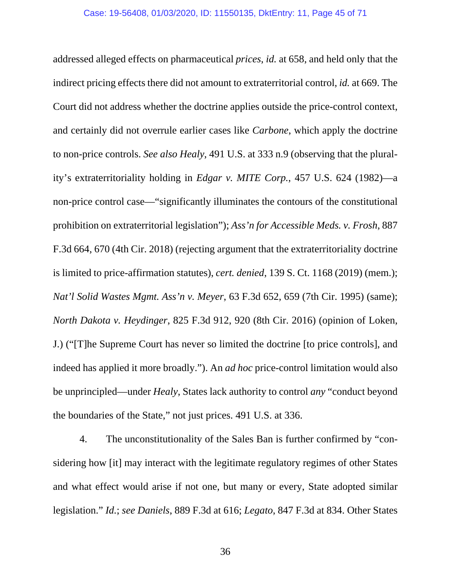addressed alleged effects on pharmaceutical *prices*, *id.* at 658, and held only that the indirect pricing effects there did not amount to extraterritorial control, *id.* at 669. The Court did not address whether the doctrine applies outside the price-control context, and certainly did not overrule earlier cases like *Carbone*, which apply the doctrine to non-price controls. *See also Healy*, 491 U.S. at 333 n.9 (observing that the plurality's extraterritoriality holding in *Edgar v. MITE Corp.*, 457 U.S. 624 (1982)—a non-price control case—"significantly illuminates the contours of the constitutional prohibition on extraterritorial legislation"); *Ass'n for Accessible Meds. v. Frosh*, 887 F.3d 664, 670 (4th Cir. 2018) (rejecting argument that the extraterritoriality doctrine is limited to price-affirmation statutes), *cert. denied*, 139 S. Ct. 1168 (2019) (mem.); *Nat'l Solid Wastes Mgmt. Ass'n v. Meyer*, 63 F.3d 652, 659 (7th Cir. 1995) (same); *North Dakota v. Heydinger*, 825 F.3d 912, 920 (8th Cir. 2016) (opinion of Loken, J.) ("[T]he Supreme Court has never so limited the doctrine [to price controls], and indeed has applied it more broadly."). An *ad hoc* price-control limitation would also be unprincipled—under *Healy*, States lack authority to control *any* "conduct beyond the boundaries of the State," not just prices. 491 U.S. at 336.

4. The unconstitutionality of the Sales Ban is further confirmed by "considering how [it] may interact with the legitimate regulatory regimes of other States and what effect would arise if not one, but many or every, State adopted similar legislation." *Id.*; *see Daniels*, 889 F.3d at 616; *Legato*, 847 F.3d at 834. Other States

36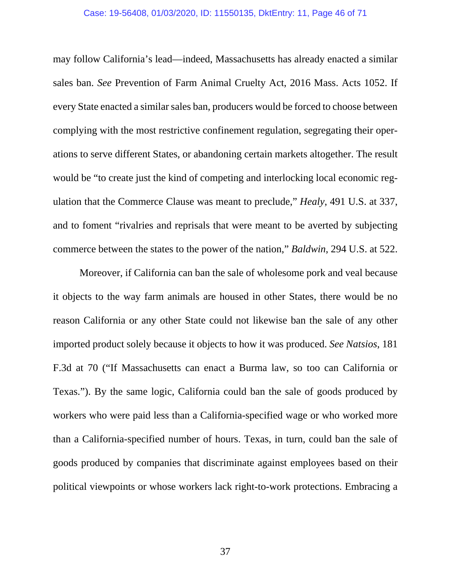#### Case: 19-56408, 01/03/2020, ID: 11550135, DktEntry: 11, Page 46 of 71

may follow California's lead—indeed, Massachusetts has already enacted a similar sales ban. *See* Prevention of Farm Animal Cruelty Act, 2016 Mass. Acts 1052. If every State enacted a similar sales ban, producers would be forced to choose between complying with the most restrictive confinement regulation, segregating their operations to serve different States, or abandoning certain markets altogether. The result would be "to create just the kind of competing and interlocking local economic regulation that the Commerce Clause was meant to preclude," *Healy*, 491 U.S. at 337, and to foment "rivalries and reprisals that were meant to be averted by subjecting commerce between the states to the power of the nation," *Baldwin*, 294 U.S. at 522.

Moreover, if California can ban the sale of wholesome pork and veal because it objects to the way farm animals are housed in other States, there would be no reason California or any other State could not likewise ban the sale of any other imported product solely because it objects to how it was produced. *See Natsios*, 181 F.3d at 70 ("If Massachusetts can enact a Burma law, so too can California or Texas."). By the same logic, California could ban the sale of goods produced by workers who were paid less than a California-specified wage or who worked more than a California-specified number of hours. Texas, in turn, could ban the sale of goods produced by companies that discriminate against employees based on their political viewpoints or whose workers lack right-to-work protections. Embracing a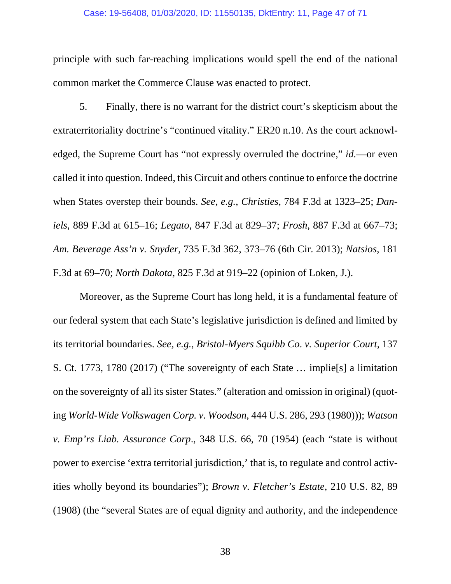#### Case: 19-56408, 01/03/2020, ID: 11550135, DktEntry: 11, Page 47 of 71

principle with such far-reaching implications would spell the end of the national common market the Commerce Clause was enacted to protect.

5. Finally, there is no warrant for the district court's skepticism about the extraterritoriality doctrine's "continued vitality." ER20 n.10. As the court acknowledged, the Supreme Court has "not expressly overruled the doctrine," *id.*—or even called it into question. Indeed, this Circuit and others continue to enforce the doctrine when States overstep their bounds. *See, e.g.*, *Christies*, 784 F.3d at 1323–25; *Daniels*, 889 F.3d at 615–16; *Legato*, 847 F.3d at 829–37; *Frosh*, 887 F.3d at 667–73; *Am. Beverage Ass'n v. Snyder*, 735 F.3d 362, 373–76 (6th Cir. 2013); *Natsios*, 181 F.3d at 69–70; *North Dakota*, 825 F.3d at 919–22 (opinion of Loken, J.).

Moreover, as the Supreme Court has long held, it is a fundamental feature of our federal system that each State's legislative jurisdiction is defined and limited by its territorial boundaries. *See, e.g.*, *Bristol-Myers Squibb Co*. *v. Superior Court*, 137 S. Ct. 1773, 1780 (2017) ("The sovereignty of each State … implie[s] a limitation on the sovereignty of all its sister States." (alteration and omission in original) (quoting *World-Wide Volkswagen Corp. v. Woodson*, 444 U.S. 286, 293 (1980))); *Watson v. Emp'rs Liab. Assurance Corp*., 348 U.S. 66, 70 (1954) (each "state is without power to exercise 'extra territorial jurisdiction,' that is, to regulate and control activities wholly beyond its boundaries"); *Brown v. Fletcher's Estate*, 210 U.S. 82, 89 (1908) (the "several States are of equal dignity and authority, and the independence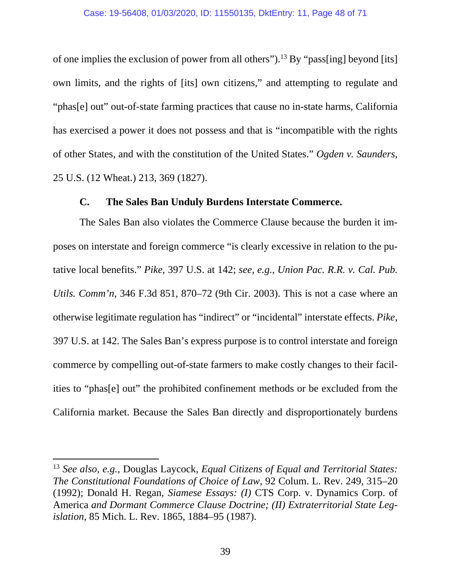<span id="page-47-0"></span>of one implies the exclusion of power from all others").<sup>13</sup> By "pass[ing] beyond [its] own limits, and the rights of [its] own citizens," and attempting to regulate and "phas[e] out" out-of-state farming practices that cause no in-state harms, California has exercised a power it does not possess and that is "incompatible with the rights of other States, and with the constitution of the United States." *Ogden v. Saunders*, 25 U.S. (12 Wheat.) 213, 369 (1827).

### **C. The Sales Ban Unduly Burdens Interstate Commerce.**

The Sales Ban also violates the Commerce Clause because the burden it imposes on interstate and foreign commerce "is clearly excessive in relation to the putative local benefits." *Pike*, 397 U.S. at 142; *see, e.g.*, *Union Pac. R.R. v. Cal. Pub. Utils. Comm'n*, 346 F.3d 851, 870–72 (9th Cir. 2003). This is not a case where an otherwise legitimate regulation has "indirect" or "incidental" interstate effects. *Pike*, 397 U.S. at 142. The Sales Ban's express purpose is to control interstate and foreign commerce by compelling out-of-state farmers to make costly changes to their facilities to "phas[e] out" the prohibited confinement methods or be excluded from the California market. Because the Sales Ban directly and disproportionately burdens

<sup>13</sup> *See also, e.g.*, Douglas Laycock, *Equal Citizens of Equal and Territorial States: The Constitutional Foundations of Choice of Law*, 92 Colum. L. Rev. 249, 315–20 (1992); Donald H. Regan, *Siamese Essays: (I)* CTS Corp. v. Dynamics Corp. of America *and Dormant Commerce Clause Doctrine; (II) Extraterritorial State Legislation*, 85 Mich. L. Rev. 1865, 1884–95 (1987).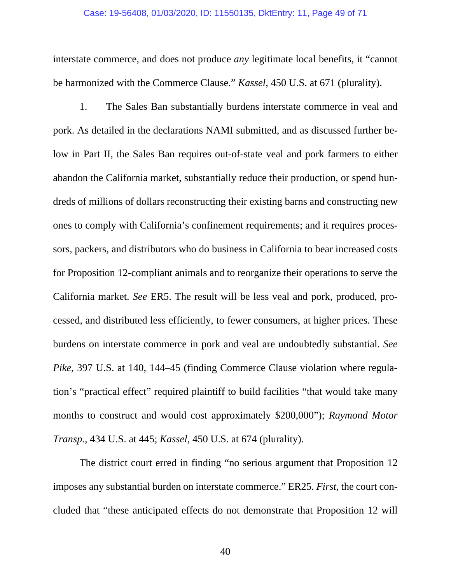#### Case: 19-56408, 01/03/2020, ID: 11550135, DktEntry: 11, Page 49 of 71

interstate commerce, and does not produce *any* legitimate local benefits, it "cannot be harmonized with the Commerce Clause." *Kassel*, 450 U.S. at 671 (plurality).

1. The Sales Ban substantially burdens interstate commerce in veal and pork. As detailed in the declarations NAMI submitted, and as discussed further below in Part II, the Sales Ban requires out-of-state veal and pork farmers to either abandon the California market, substantially reduce their production, or spend hundreds of millions of dollars reconstructing their existing barns and constructing new ones to comply with California's confinement requirements; and it requires processors, packers, and distributors who do business in California to bear increased costs for Proposition 12-compliant animals and to reorganize their operations to serve the California market. *See* ER5. The result will be less veal and pork, produced, processed, and distributed less efficiently, to fewer consumers, at higher prices. These burdens on interstate commerce in pork and veal are undoubtedly substantial. *See Pike*, 397 U.S. at 140, 144–45 (finding Commerce Clause violation where regulation's "practical effect" required plaintiff to build facilities "that would take many months to construct and would cost approximately \$200,000"); *Raymond Motor Transp.*, 434 U.S. at 445; *Kassel*, 450 U.S. at 674 (plurality).

The district court erred in finding "no serious argument that Proposition 12 imposes any substantial burden on interstate commerce." ER25. *First*, the court concluded that "these anticipated effects do not demonstrate that Proposition 12 will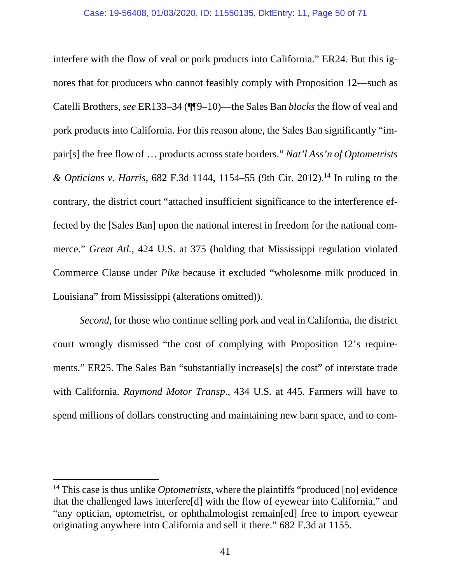interfere with the flow of veal or pork products into California." ER24. But this ignores that for producers who cannot feasibly comply with Proposition 12—such as Catelli Brothers, *see* ER133–34 (¶¶9–10)—the Sales Ban *blocks* the flow of veal and pork products into California. For this reason alone, the Sales Ban significantly "impair[s] the free flow of … products across state borders." *Nat'l Ass'n of Optometrists & Opticians v. Harris*, 682 F.3d 1144, 1154–55 (9th Cir. 2012).14 In ruling to the contrary, the district court "attached insufficient significance to the interference effected by the [Sales Ban] upon the national interest in freedom for the national commerce." *Great Atl.*, 424 U.S. at 375 (holding that Mississippi regulation violated Commerce Clause under *Pike* because it excluded "wholesome milk produced in Louisiana" from Mississippi (alterations omitted)).

*Second*, for those who continue selling pork and veal in California, the district court wrongly dismissed "the cost of complying with Proposition 12's requirements." ER25. The Sales Ban "substantially increase[s] the cost" of interstate trade with California. *Raymond Motor Transp*., 434 U.S. at 445. Farmers will have to spend millions of dollars constructing and maintaining new barn space, and to com-

<sup>&</sup>lt;sup>14</sup> This case is thus unlike *Optometrists*, where the plaintiffs "produced [no] evidence that the challenged laws interfere[d] with the flow of eyewear into California," and "any optician, optometrist, or ophthalmologist remain[ed] free to import eyewear originating anywhere into California and sell it there." 682 F.3d at 1155.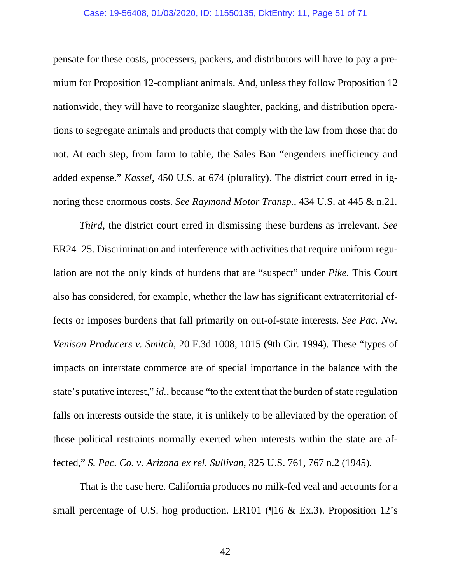#### Case: 19-56408, 01/03/2020, ID: 11550135, DktEntry: 11, Page 51 of 71

pensate for these costs, processers, packers, and distributors will have to pay a premium for Proposition 12-compliant animals. And, unless they follow Proposition 12 nationwide, they will have to reorganize slaughter, packing, and distribution operations to segregate animals and products that comply with the law from those that do not. At each step, from farm to table, the Sales Ban "engenders inefficiency and added expense." *Kassel*, 450 U.S. at 674 (plurality). The district court erred in ignoring these enormous costs. *See Raymond Motor Transp.*, 434 U.S. at 445 & n.21.

*Third*, the district court erred in dismissing these burdens as irrelevant. *See*  ER24–25. Discrimination and interference with activities that require uniform regulation are not the only kinds of burdens that are "suspect" under *Pike*. This Court also has considered, for example, whether the law has significant extraterritorial effects or imposes burdens that fall primarily on out-of-state interests. *See Pac. Nw. Venison Producers v. Smitch*, 20 F.3d 1008, 1015 (9th Cir. 1994). These "types of impacts on interstate commerce are of special importance in the balance with the state's putative interest," *id.*, because "to the extent that the burden of state regulation falls on interests outside the state, it is unlikely to be alleviated by the operation of those political restraints normally exerted when interests within the state are affected," *S. Pac. Co. v. Arizona ex rel. Sullivan*, 325 U.S. 761, 767 n.2 (1945).

That is the case here. California produces no milk-fed veal and accounts for a small percentage of U.S. hog production. ER101 (16 & Ex.3). Proposition 12's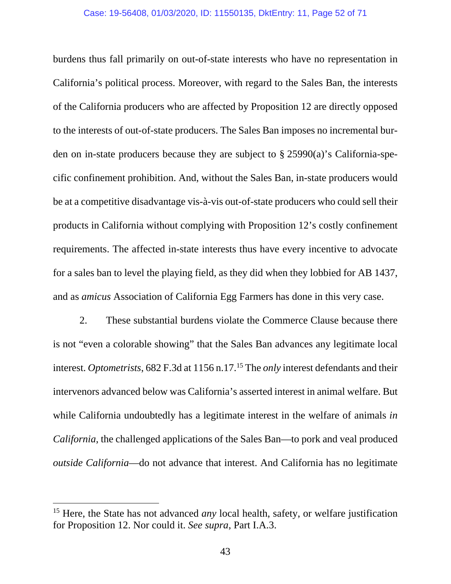#### Case: 19-56408, 01/03/2020, ID: 11550135, DktEntry: 11, Page 52 of 71

burdens thus fall primarily on out-of-state interests who have no representation in California's political process. Moreover, with regard to the Sales Ban, the interests of the California producers who are affected by Proposition 12 are directly opposed to the interests of out-of-state producers. The Sales Ban imposes no incremental burden on in-state producers because they are subject to § 25990(a)'s California-specific confinement prohibition. And, without the Sales Ban, in-state producers would be at a competitive disadvantage vis-à-vis out-of-state producers who could sell their products in California without complying with Proposition 12's costly confinement requirements. The affected in-state interests thus have every incentive to advocate for a sales ban to level the playing field, as they did when they lobbied for AB 1437, and as *amicus* Association of California Egg Farmers has done in this very case.

2. These substantial burdens violate the Commerce Clause because there is not "even a colorable showing" that the Sales Ban advances any legitimate local interest. *Optometrists*, 682 F.3d at 1156 n.17.<sup>15</sup> The *only* interest defendants and their intervenors advanced below was California's asserted interest in animal welfare. But while California undoubtedly has a legitimate interest in the welfare of animals *in California*, the challenged applications of the Sales Ban—to pork and veal produced *outside California*—do not advance that interest. And California has no legitimate

<sup>&</sup>lt;sup>15</sup> Here, the State has not advanced *any* local health, safety, or welfare justification for Proposition 12. Nor could it. *See supra*, Part I.A.3.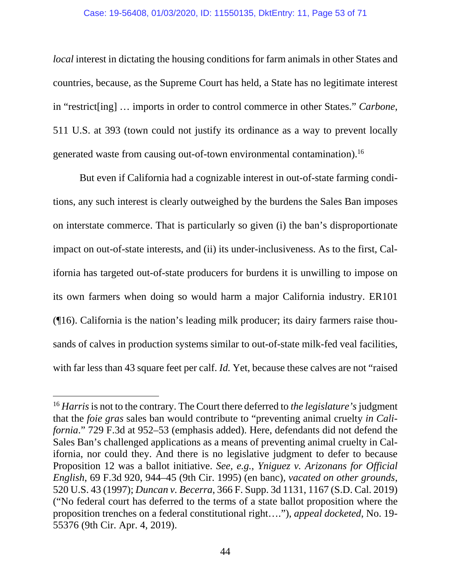#### Case: 19-56408, 01/03/2020, ID: 11550135, DktEntry: 11, Page 53 of 71

*local* interest in dictating the housing conditions for farm animals in other States and countries, because, as the Supreme Court has held, a State has no legitimate interest in "restrict[ing] … imports in order to control commerce in other States." *Carbone*, 511 U.S. at 393 (town could not justify its ordinance as a way to prevent locally generated waste from causing out-of-town environmental contamination).16

But even if California had a cognizable interest in out-of-state farming conditions, any such interest is clearly outweighed by the burdens the Sales Ban imposes on interstate commerce. That is particularly so given (i) the ban's disproportionate impact on out-of-state interests, and (ii) its under-inclusiveness. As to the first, California has targeted out-of-state producers for burdens it is unwilling to impose on its own farmers when doing so would harm a major California industry. ER101 (¶16). California is the nation's leading milk producer; its dairy farmers raise thousands of calves in production systems similar to out-of-state milk-fed veal facilities, with far less than 43 square feet per calf. *Id.* Yet, because these calves are not "raised

<sup>16</sup> *Harris* is not to the contrary. The Court there deferred to *the legislature's* judgment that the *foie gras* sales ban would contribute to "preventing animal cruelty *in California*." 729 F.3d at 952–53 (emphasis added). Here, defendants did not defend the Sales Ban's challenged applications as a means of preventing animal cruelty in California, nor could they. And there is no legislative judgment to defer to because Proposition 12 was a ballot initiative. *See, e.g.*, *Yniguez v. Arizonans for Official English*, 69 F.3d 920, 944–45 (9th Cir. 1995) (en banc), *vacated on other grounds*, 520 U.S. 43 (1997); *Duncan v. Becerra*, 366 F. Supp. 3d 1131, 1167 (S.D. Cal. 2019) ("No federal court has deferred to the terms of a state ballot proposition where the proposition trenches on a federal constitutional right…."), *appeal docketed*, No. 19- 55376 (9th Cir. Apr. 4, 2019).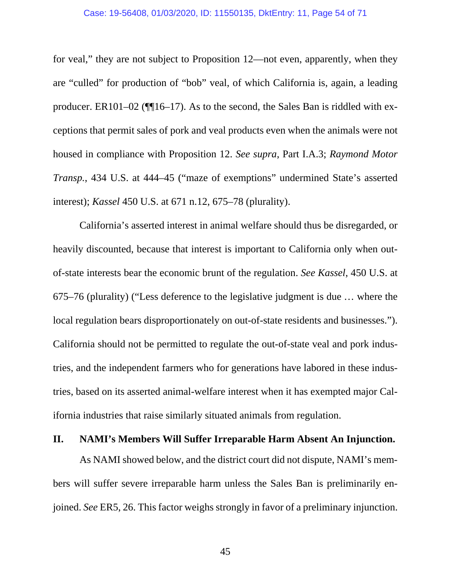#### Case: 19-56408, 01/03/2020, ID: 11550135, DktEntry: 11, Page 54 of 71

<span id="page-53-0"></span>for veal," they are not subject to Proposition 12—not even, apparently, when they are "culled" for production of "bob" veal, of which California is, again, a leading producer. ER101–02 (¶¶16–17). As to the second, the Sales Ban is riddled with exceptions that permit sales of pork and veal products even when the animals were not housed in compliance with Proposition 12. *See supra*, Part I.A.3; *Raymond Motor Transp.*, 434 U.S. at 444–45 ("maze of exemptions" undermined State's asserted interest); *Kassel* 450 U.S. at 671 n.12, 675–78 (plurality).

California's asserted interest in animal welfare should thus be disregarded, or heavily discounted, because that interest is important to California only when outof-state interests bear the economic brunt of the regulation. *See Kassel*, 450 U.S. at 675–76 (plurality) ("Less deference to the legislative judgment is due … where the local regulation bears disproportionately on out-of-state residents and businesses."). California should not be permitted to regulate the out-of-state veal and pork industries, and the independent farmers who for generations have labored in these industries, based on its asserted animal-welfare interest when it has exempted major California industries that raise similarly situated animals from regulation.

#### **II. NAMI's Members Will Suffer Irreparable Harm Absent An Injunction.**

As NAMI showed below, and the district court did not dispute, NAMI's members will suffer severe irreparable harm unless the Sales Ban is preliminarily enjoined. *See* ER5, 26. This factor weighs strongly in favor of a preliminary injunction.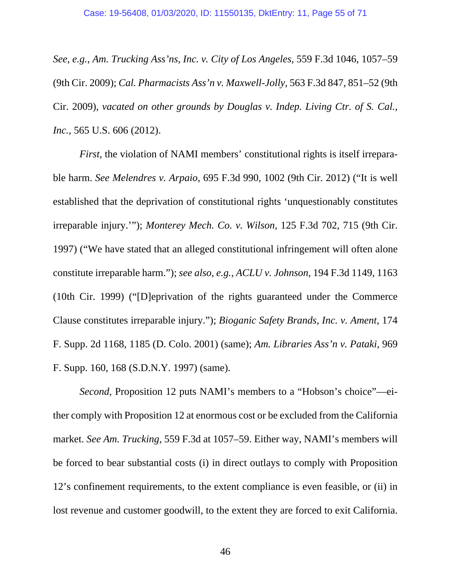*See, e.g.*, *Am. Trucking Ass'ns, Inc. v. City of Los Angeles*, 559 F.3d 1046, 1057–59 (9th Cir. 2009); *Cal. Pharmacists Ass'n v. Maxwell-Jolly*, 563 F.3d 847, 851–52 (9th Cir. 2009), *vacated on other grounds by Douglas v. Indep. Living Ctr. of S. Cal., Inc.*, 565 U.S. 606 (2012).

*First*, the violation of NAMI members' constitutional rights is itself irreparable harm. *See Melendres v. Arpaio*, 695 F.3d 990, 1002 (9th Cir. 2012) ("It is well established that the deprivation of constitutional rights 'unquestionably constitutes irreparable injury.'"); *Monterey Mech. Co. v. Wilson*, 125 F.3d 702, 715 (9th Cir. 1997) ("We have stated that an alleged constitutional infringement will often alone constitute irreparable harm."); *see also, e.g.*, *ACLU v. Johnson*, 194 F.3d 1149, 1163 (10th Cir. 1999) ("[D]eprivation of the rights guaranteed under the Commerce Clause constitutes irreparable injury."); *Bioganic Safety Brands, Inc. v. Ament*, 174 F. Supp. 2d 1168, 1185 (D. Colo. 2001) (same); *Am. Libraries Ass'n v. Pataki*, 969 F. Supp. 160, 168 (S.D.N.Y. 1997) (same).

*Second*, Proposition 12 puts NAMI's members to a "Hobson's choice"—either comply with Proposition 12 at enormous cost or be excluded from the California market. *See Am. Trucking*, 559 F.3d at 1057–59. Either way, NAMI's members will be forced to bear substantial costs (i) in direct outlays to comply with Proposition 12's confinement requirements, to the extent compliance is even feasible, or (ii) in lost revenue and customer goodwill, to the extent they are forced to exit California.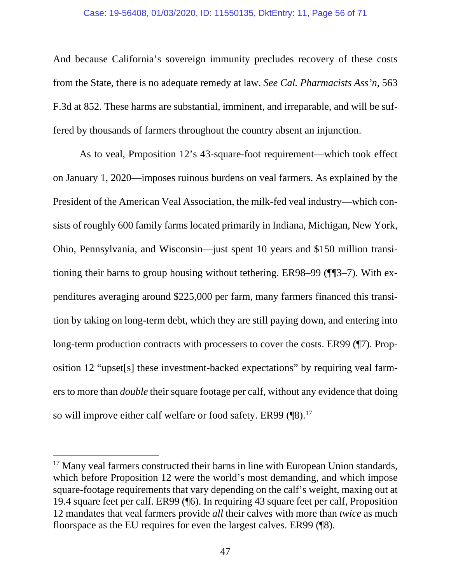#### Case: 19-56408, 01/03/2020, ID: 11550135, DktEntry: 11, Page 56 of 71

And because California's sovereign immunity precludes recovery of these costs from the State, there is no adequate remedy at law. *See Cal. Pharmacists Ass'n*, 563 F.3d at 852. These harms are substantial, imminent, and irreparable, and will be suffered by thousands of farmers throughout the country absent an injunction.

As to veal, Proposition 12's 43-square-foot requirement—which took effect on January 1, 2020—imposes ruinous burdens on veal farmers. As explained by the President of the American Veal Association, the milk-fed veal industry—which consists of roughly 600 family farms located primarily in Indiana, Michigan, New York, Ohio, Pennsylvania, and Wisconsin—just spent 10 years and \$150 million transitioning their barns to group housing without tethering. ER98–99 (¶¶3–7). With expenditures averaging around \$225,000 per farm, many farmers financed this transition by taking on long-term debt, which they are still paying down, and entering into long-term production contracts with processers to cover the costs. ER99 (¶7). Proposition 12 "upset[s] these investment-backed expectations" by requiring veal farmers to more than *double* their square footage per calf, without any evidence that doing so will improve either calf welfare or food safety. ER99 (¶8).<sup>17</sup>

<sup>&</sup>lt;sup>17</sup> Many veal farmers constructed their barns in line with European Union standards, which before Proposition 12 were the world's most demanding, and which impose square-footage requirements that vary depending on the calf's weight, maxing out at 19.4 square feet per calf. ER99 (¶6). In requiring 43 square feet per calf, Proposition 12 mandates that veal farmers provide *all* their calves with more than *twice* as much floorspace as the EU requires for even the largest calves. ER99 (¶8).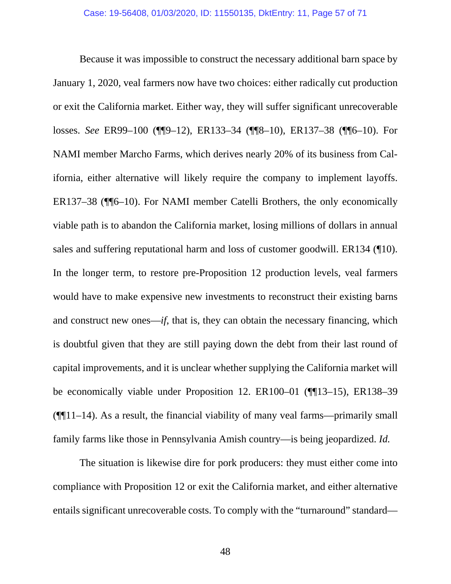Because it was impossible to construct the necessary additional barn space by January 1, 2020, veal farmers now have two choices: either radically cut production or exit the California market. Either way, they will suffer significant unrecoverable losses. *See* ER99–100 (¶¶9–12), ER133–34 (¶¶8–10), ER137–38 (¶¶6–10). For NAMI member Marcho Farms, which derives nearly 20% of its business from California, either alternative will likely require the company to implement layoffs. ER137–38 (¶¶6–10). For NAMI member Catelli Brothers, the only economically viable path is to abandon the California market, losing millions of dollars in annual sales and suffering reputational harm and loss of customer goodwill. ER134 (¶10). In the longer term, to restore pre-Proposition 12 production levels, veal farmers would have to make expensive new investments to reconstruct their existing barns and construct new ones—*if*, that is, they can obtain the necessary financing, which is doubtful given that they are still paying down the debt from their last round of capital improvements, and it is unclear whether supplying the California market will be economically viable under Proposition 12. ER100–01 (¶¶13–15), ER138–39  $(\P\P11-14)$ . As a result, the financial viability of many veal farms—primarily small family farms like those in Pennsylvania Amish country—is being jeopardized. *Id.*

The situation is likewise dire for pork producers: they must either come into compliance with Proposition 12 or exit the California market, and either alternative entails significant unrecoverable costs. To comply with the "turnaround" standard—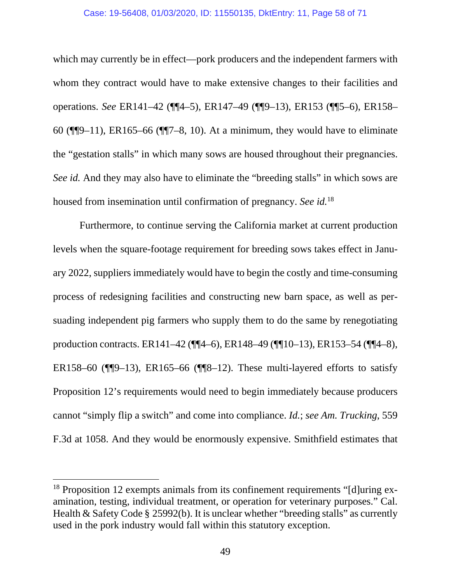#### Case: 19-56408, 01/03/2020, ID: 11550135, DktEntry: 11, Page 58 of 71

which may currently be in effect—pork producers and the independent farmers with whom they contract would have to make extensive changes to their facilities and operations. *See* ER141–42 (¶¶4–5), ER147–49 (¶¶9–13), ER153 (¶¶5–6), ER158– 60 (¶¶9–11), ER165–66 (¶¶7–8, 10). At a minimum, they would have to eliminate the "gestation stalls" in which many sows are housed throughout their pregnancies. *See id.* And they may also have to eliminate the "breeding stalls" in which sows are housed from insemination until confirmation of pregnancy. *See id.*<sup>18</sup>

Furthermore, to continue serving the California market at current production levels when the square-footage requirement for breeding sows takes effect in January 2022, suppliers immediately would have to begin the costly and time-consuming process of redesigning facilities and constructing new barn space, as well as persuading independent pig farmers who supply them to do the same by renegotiating production contracts. ER141–42 (¶¶4–6), ER148–49 (¶¶10–13), ER153–54 (¶¶4–8), ER158–60 ( $\P$  $\P$  $9$ –13), ER165–66 ( $\P$  $\P$  $8$ –12). These multi-layered efforts to satisfy Proposition 12's requirements would need to begin immediately because producers cannot "simply flip a switch" and come into compliance. *Id.*; *see Am. Trucking*, 559 F.3d at 1058. And they would be enormously expensive. Smithfield estimates that

<sup>&</sup>lt;sup>18</sup> Proposition 12 exempts animals from its confinement requirements "[d]uring examination, testing, individual treatment, or operation for veterinary purposes." Cal. Health & Safety Code § 25992(b). It is unclear whether "breeding stalls" as currently used in the pork industry would fall within this statutory exception.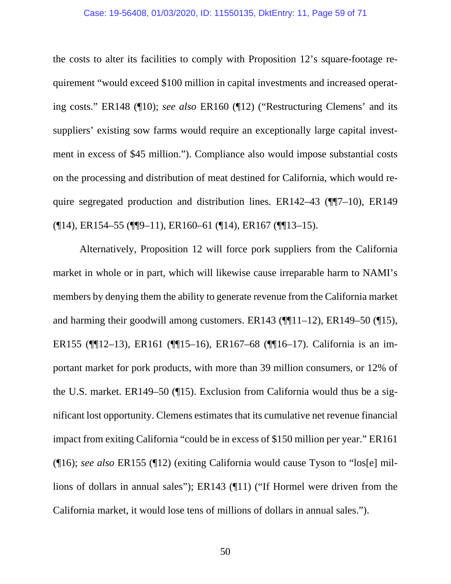#### Case: 19-56408, 01/03/2020, ID: 11550135, DktEntry: 11, Page 59 of 71

the costs to alter its facilities to comply with Proposition 12's square-footage requirement "would exceed \$100 million in capital investments and increased operating costs." ER148 (¶10); *see also* ER160 (¶12) ("Restructuring Clemens' and its suppliers' existing sow farms would require an exceptionally large capital investment in excess of \$45 million."). Compliance also would impose substantial costs on the processing and distribution of meat destined for California, which would require segregated production and distribution lines. ER142–43 (¶¶7–10), ER149 (¶14), ER154–55 (¶¶9–11), ER160–61 (¶14), ER167 (¶¶13–15).

Alternatively, Proposition 12 will force pork suppliers from the California market in whole or in part, which will likewise cause irreparable harm to NAMI's members by denying them the ability to generate revenue from the California market and harming their goodwill among customers. ER143 ( $\P$ [11–12), ER149–50 ( $\P$ 15), ER155 (¶¶12–13), ER161 (¶¶15–16), ER167–68 (¶¶16–17). California is an important market for pork products, with more than 39 million consumers, or 12% of the U.S. market. ER149–50 (¶15). Exclusion from California would thus be a significant lost opportunity. Clemens estimates that its cumulative net revenue financial impact from exiting California "could be in excess of \$150 million per year." ER161 (¶16); *see also* ER155 (¶12) (exiting California would cause Tyson to "los[e] millions of dollars in annual sales"); ER143 (¶11) ("If Hormel were driven from the California market, it would lose tens of millions of dollars in annual sales.").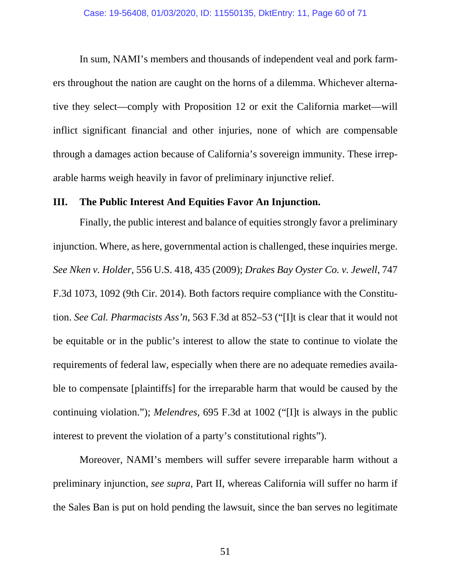<span id="page-59-0"></span>In sum, NAMI's members and thousands of independent veal and pork farmers throughout the nation are caught on the horns of a dilemma. Whichever alternative they select—comply with Proposition 12 or exit the California market—will inflict significant financial and other injuries, none of which are compensable through a damages action because of California's sovereign immunity. These irreparable harms weigh heavily in favor of preliminary injunctive relief.

#### **III. The Public Interest And Equities Favor An Injunction.**

Finally, the public interest and balance of equities strongly favor a preliminary injunction. Where, as here, governmental action is challenged, these inquiries merge. *See Nken v. Holder*, 556 U.S. 418, 435 (2009); *Drakes Bay Oyster Co. v. Jewell*, 747 F.3d 1073, 1092 (9th Cir. 2014). Both factors require compliance with the Constitution. *See Cal. Pharmacists Ass'n*, 563 F.3d at 852–53 ("[I]t is clear that it would not be equitable or in the public's interest to allow the state to continue to violate the requirements of federal law, especially when there are no adequate remedies available to compensate [plaintiffs] for the irreparable harm that would be caused by the continuing violation."); *Melendres*, 695 F.3d at 1002 ("[I]t is always in the public interest to prevent the violation of a party's constitutional rights").

Moreover, NAMI's members will suffer severe irreparable harm without a preliminary injunction, *see supra*, Part II, whereas California will suffer no harm if the Sales Ban is put on hold pending the lawsuit, since the ban serves no legitimate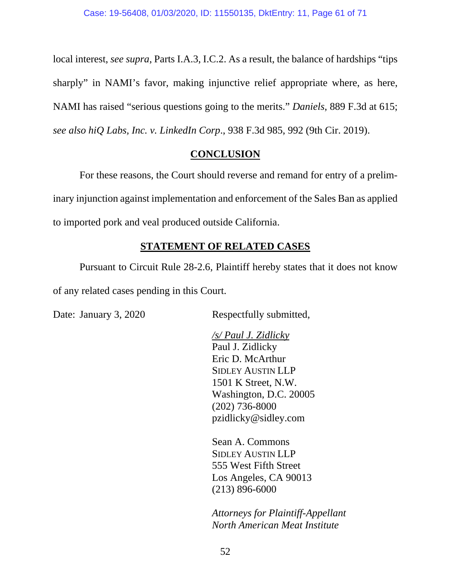<span id="page-60-0"></span>local interest, *see supra*, Parts I.A.3, I.C.2. As a result, the balance of hardships "tips sharply" in NAMI's favor, making injunctive relief appropriate where, as here, NAMI has raised "serious questions going to the merits." *Daniels*, 889 F.3d at 615; *see also hiQ Labs, Inc. v. LinkedIn Corp*., 938 F.3d 985, 992 (9th Cir. 2019).

### **CONCLUSION**

For these reasons, the Court should reverse and remand for entry of a preliminary injunction against implementation and enforcement of the Sales Ban as applied to imported pork and veal produced outside California.

## **STATEMENT OF RELATED CASES**

Pursuant to Circuit Rule 28-2.6, Plaintiff hereby states that it does not know of any related cases pending in this Court.

Date: January 3, 2020 Respectfully submitted,

 */s/ Paul J. Zidlicky*  Paul J. Zidlicky Eric D. McArthur SIDLEY AUSTIN LLP 1501 K Street, N.W. Washington, D.C. 20005 (202) 736-8000 pzidlicky@sidley.com

Sean A. Commons SIDLEY AUSTIN LLP 555 West Fifth Street Los Angeles, CA 90013 (213) 896-6000

*Attorneys for Plaintiff-Appellant North American Meat Institute*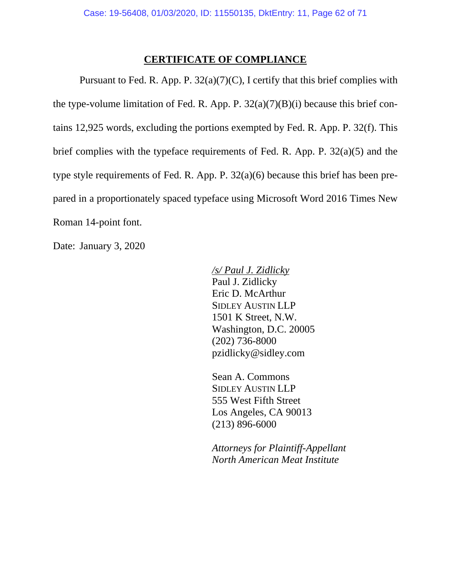### **CERTIFICATE OF COMPLIANCE**

<span id="page-61-0"></span>Pursuant to Fed. R. App. P.  $32(a)(7)(C)$ , I certify that this brief complies with the type-volume limitation of Fed. R. App. P.  $32(a)(7)(B)(i)$  because this brief contains 12,925 words, excluding the portions exempted by Fed. R. App. P. 32(f). This brief complies with the typeface requirements of Fed. R. App. P. 32(a)(5) and the type style requirements of Fed. R. App. P. 32(a)(6) because this brief has been prepared in a proportionately spaced typeface using Microsoft Word 2016 Times New Roman 14-point font.

Date: January 3, 2020

 */s/ Paul J. Zidlicky*  Paul J. Zidlicky Eric D. McArthur SIDLEY AUSTIN LLP 1501 K Street, N.W. Washington, D.C. 20005 (202) 736-8000 pzidlicky@sidley.com

Sean A. Commons SIDLEY AUSTIN LLP 555 West Fifth Street Los Angeles, CA 90013 (213) 896-6000

*Attorneys for Plaintiff-Appellant North American Meat Institute*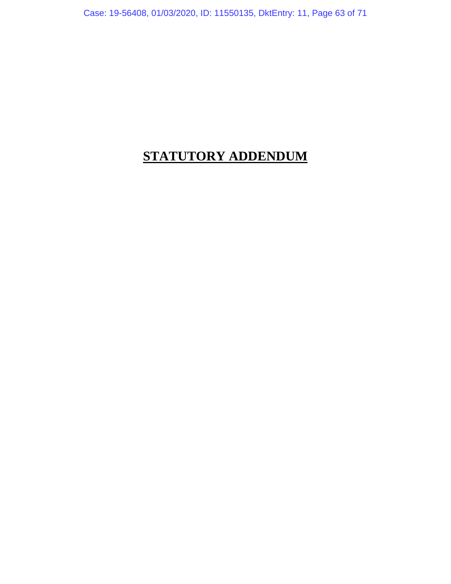<span id="page-62-0"></span>Case: 19-56408, 01/03/2020, ID: 11550135, DktEntry: 11, Page 63 of 71

# **STATUTORY ADDENDUM**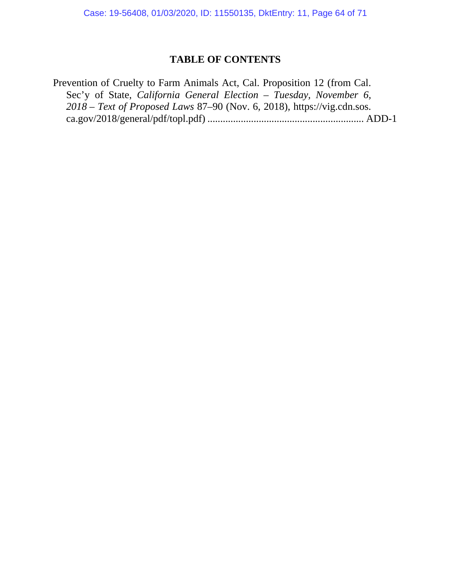Case: 19-56408, 01/03/2020, ID: 11550135, DktEntry: 11, Page 64 of 71

## **TABLE OF CONTENTS**

Prevention of Cruelty to Farm Animals Act, Cal. Proposition 12 (from Cal. Sec'y of State, *California General Election – Tuesday, November 6, 2018 – Text of Proposed Laws* 87–90 (Nov. 6, 2018), https://vig.cdn.sos. ca.gov/2018/general/pdf/topl.pdf) ............................................................. ADD-1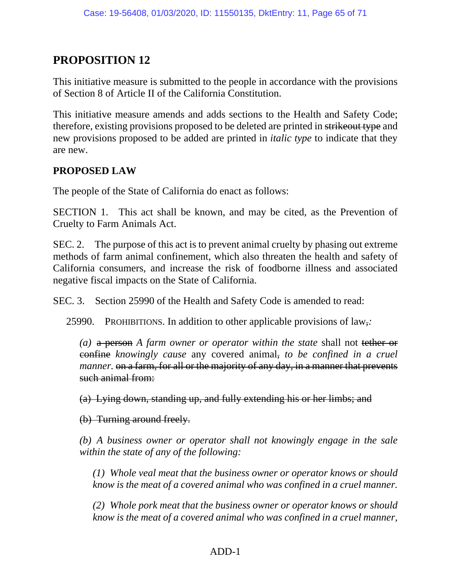## **PROPOSITION 12**

This initiative measure is submitted to the people in accordance with the provisions of Section 8 of Article II of the California Constitution.

This initiative measure amends and adds sections to the Health and Safety Code; therefore, existing provisions proposed to be deleted are printed in strikeout type and new provisions proposed to be added are printed in *italic type* to indicate that they are new.

## **PROPOSED LAW**

The people of the State of California do enact as follows:

SECTION 1. This act shall be known, and may be cited, as the Prevention of Cruelty to Farm Animals Act.

SEC. 2. The purpose of this act is to prevent animal cruelty by phasing out extreme methods of farm animal confinement, which also threaten the health and safety of California consumers, and increase the risk of foodborne illness and associated negative fiscal impacts on the State of California.

SEC. 3. Section 25990 of the Health and Safety Code is amended to read:

25990. PROHIBITIONS. In addition to other applicable provisions of law,*:* 

*(a)* a person *A farm owner or operator within the state* shall not tether or confine *knowingly cause* any covered animal, *to be confined in a cruel manner*. on a farm, for all or the majority of any day, in a manner that prevents such animal from:

(a) Lying down, standing up, and fully extending his or her limbs; and

(b) Turning around freely.

*(b) A business owner or operator shall not knowingly engage in the sale within the state of any of the following:*

*(1) Whole veal meat that the business owner or operator knows or should know is the meat of a covered animal who was confined in a cruel manner.*

*(2) Whole pork meat that the business owner or operator knows or should know is the meat of a covered animal who was confined in a cruel manner,*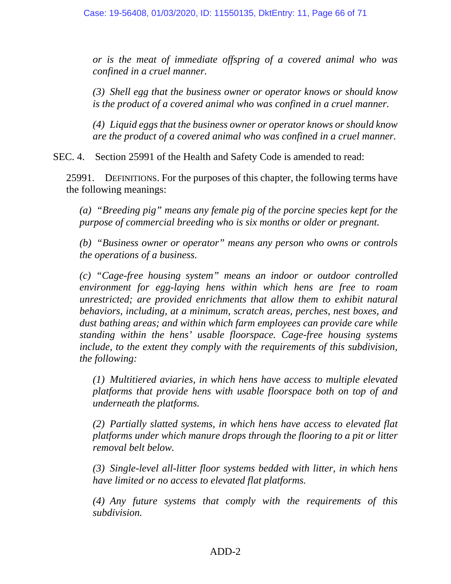*or is the meat of immediate offspring of a covered animal who was confined in a cruel manner.*

*(3) Shell egg that the business owner or operator knows or should know is the product of a covered animal who was confined in a cruel manner.*

*(4) Liquid eggs that the business owner or operator knows or should know are the product of a covered animal who was confined in a cruel manner.*

SEC. 4. Section 25991 of the Health and Safety Code is amended to read:

25991. DEFINITIONS. For the purposes of this chapter, the following terms have the following meanings:

*(a) "Breeding pig" means any female pig of the porcine species kept for the purpose of commercial breeding who is six months or older or pregnant.*

*(b) "Business owner or operator" means any person who owns or controls the operations of a business.* 

*(c) "Cage-free housing system" means an indoor or outdoor controlled environment for egg-laying hens within which hens are free to roam unrestricted; are provided enrichments that allow them to exhibit natural behaviors, including, at a minimum, scratch areas, perches, nest boxes, and dust bathing areas; and within which farm employees can provide care while standing within the hens' usable floorspace. Cage-free housing systems include, to the extent they comply with the requirements of this subdivision, the following:*

*(1) Multitiered aviaries, in which hens have access to multiple elevated platforms that provide hens with usable floorspace both on top of and underneath the platforms.*

*(2) Partially slatted systems, in which hens have access to elevated flat platforms under which manure drops through the flooring to a pit or litter removal belt below.*

*(3) Single-level all-litter floor systems bedded with litter, in which hens have limited or no access to elevated flat platforms.*

*(4) Any future systems that comply with the requirements of this subdivision.*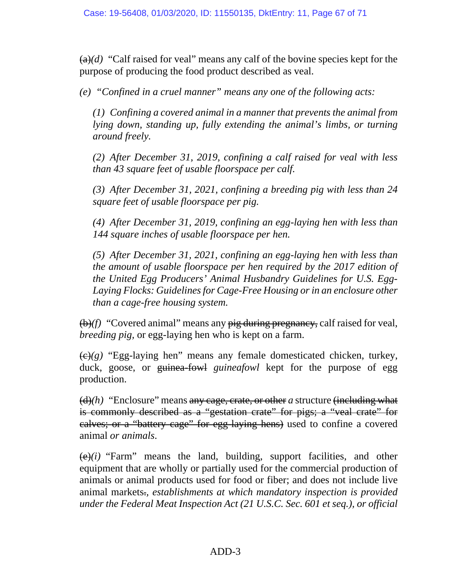$(a)(d)$  "Calf raised for veal" means any calf of the bovine species kept for the purpose of producing the food product described as veal.

*(e) "Confined in a cruel manner" means any one of the following acts:* 

*(1) Confining a covered animal in a manner that prevents the animal from lying down, standing up, fully extending the animal's limbs, or turning around freely.*

*(2) After December 31, 2019, confining a calf raised for veal with less than 43 square feet of usable floorspace per calf.*

*(3) After December 31, 2021, confining a breeding pig with less than 24 square feet of usable floorspace per pig.*

*(4) After December 31, 2019, confining an egg-laying hen with less than 144 square inches of usable floorspace per hen.* 

*(5) After December 31, 2021, confining an egg-laying hen with less than the amount of usable floorspace per hen required by the 2017 edition of the United Egg Producers' Animal Husbandry Guidelines for U.S. Egg-Laying Flocks: Guidelines for Cage-Free Housing or in an enclosure other than a cage-free housing system.* 

(b)*(f)* "Covered animal" means any pig during pregnancy, calf raised for veal, *breeding pig,* or egg-laying hen who is kept on a farm.

 $\left(\frac{e}{g}\right)$  "Egg-laying hen" means any female domesticated chicken, turkey, duck, goose, or guinea-fowl *guineafowl* kept for the purpose of egg production.

(d)*(h)* "Enclosure" means any cage, crate, or other *a* structure (including what is commonly described as a "gestation crate" for pigs; a "veal crate" for calves; or a "battery cage" for egg-laying hens) used to confine a covered animal *or animals*.

 $(e)(i)$  "Farm" means the land, building, support facilities, and other equipment that are wholly or partially used for the commercial production of animals or animal products used for food or fiber; and does not include live animal markets.*, establishments at which mandatory inspection is provided under the Federal Meat Inspection Act (21 U.S.C. Sec. 601 et seq.), or official*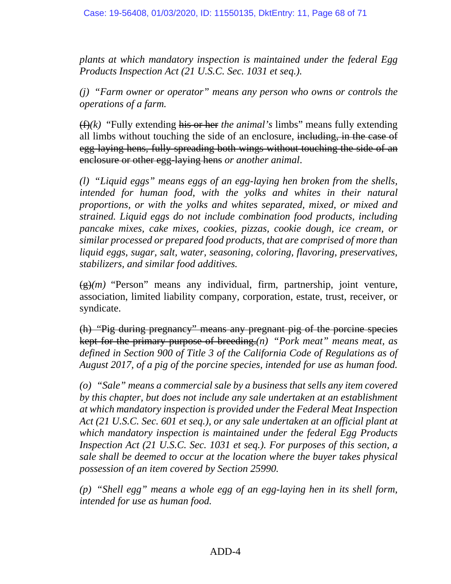*plants at which mandatory inspection is maintained under the federal Egg Products Inspection Act (21 U.S.C. Sec. 1031 et seq.).*

*(j) "Farm owner or operator" means any person who owns or controls the operations of a farm.* 

(f)*(k)* "Fully extending his or her *the animal's* limbs" means fully extending all limbs without touching the side of an enclosure, including, in the case of egg-laying hens, fully spreading both wings without touching the side of an enclosure or other egg-laying hens *or another animal*.

*(l) "Liquid eggs" means eggs of an egg-laying hen broken from the shells, intended for human food, with the yolks and whites in their natural proportions, or with the yolks and whites separated, mixed, or mixed and strained. Liquid eggs do not include combination food products, including pancake mixes, cake mixes, cookies, pizzas, cookie dough, ice cream, or similar processed or prepared food products, that are comprised of more than liquid eggs, sugar, salt, water, seasoning, coloring, flavoring, preservatives, stabilizers, and similar food additives.* 

 $\left(\frac{g}{g}\right)(m)$  "Person" means any individual, firm, partnership, joint venture, association, limited liability company, corporation, estate, trust, receiver, or syndicate.

(h) "Pig during pregnancy" means any pregnant pig of the porcine species kept for the primary purpose of breeding.*(n) "Pork meat" means meat, as defined in Section 900 of Title 3 of the California Code of Regulations as of August 2017, of a pig of the porcine species, intended for use as human food.* 

*(o) "Sale" means a commercial sale by a business that sells any item covered by this chapter, but does not include any sale undertaken at an establishment at which mandatory inspection is provided under the Federal Meat Inspection Act (21 U.S.C. Sec. 601 et seq.), or any sale undertaken at an official plant at which mandatory inspection is maintained under the federal Egg Products Inspection Act (21 U.S.C. Sec. 1031 et seq.). For purposes of this section, a sale shall be deemed to occur at the location where the buyer takes physical possession of an item covered by Section 25990.* 

*(p) "Shell egg" means a whole egg of an egg-laying hen in its shell form, intended for use as human food.*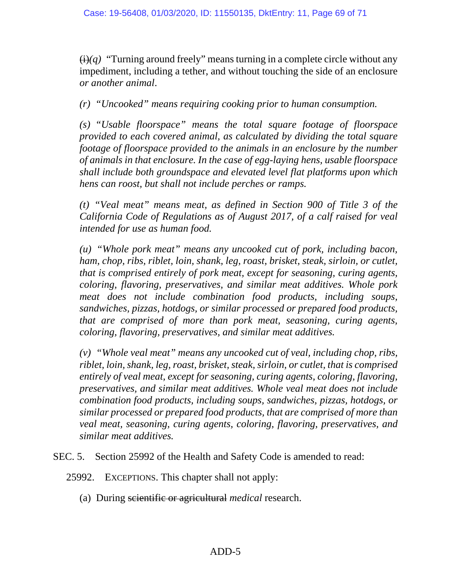$(i)(q)$  "Turning around freely" means turning in a complete circle without any impediment, including a tether, and without touching the side of an enclosure *or another animal*.

*(r) "Uncooked" means requiring cooking prior to human consumption.* 

*(s) "Usable floorspace" means the total square footage of floorspace provided to each covered animal, as calculated by dividing the total square footage of floorspace provided to the animals in an enclosure by the number of animals in that enclosure. In the case of egg-laying hens, usable floorspace shall include both groundspace and elevated level flat platforms upon which hens can roost, but shall not include perches or ramps.* 

*(t) "Veal meat" means meat, as defined in Section 900 of Title 3 of the California Code of Regulations as of August 2017, of a calf raised for veal intended for use as human food.* 

*(u) "Whole pork meat" means any uncooked cut of pork, including bacon, ham, chop, ribs, riblet, loin, shank, leg, roast, brisket, steak, sirloin, or cutlet, that is comprised entirely of pork meat, except for seasoning, curing agents, coloring, flavoring, preservatives, and similar meat additives. Whole pork meat does not include combination food products, including soups, sandwiches, pizzas, hotdogs, or similar processed or prepared food products, that are comprised of more than pork meat, seasoning, curing agents, coloring, flavoring, preservatives, and similar meat additives.* 

*(v) "Whole veal meat" means any uncooked cut of veal, including chop, ribs, riblet, loin, shank, leg, roast, brisket, steak, sirloin, or cutlet, that is comprised entirely of veal meat, except for seasoning, curing agents, coloring, flavoring, preservatives, and similar meat additives. Whole veal meat does not include combination food products, including soups, sandwiches, pizzas, hotdogs, or similar processed or prepared food products, that are comprised of more than veal meat, seasoning, curing agents, coloring, flavoring, preservatives, and similar meat additives.* 

SEC. 5. Section 25992 of the Health and Safety Code is amended to read:

25992. EXCEPTIONS. This chapter shall not apply:

(a) During scientific or agricultural *medical* research.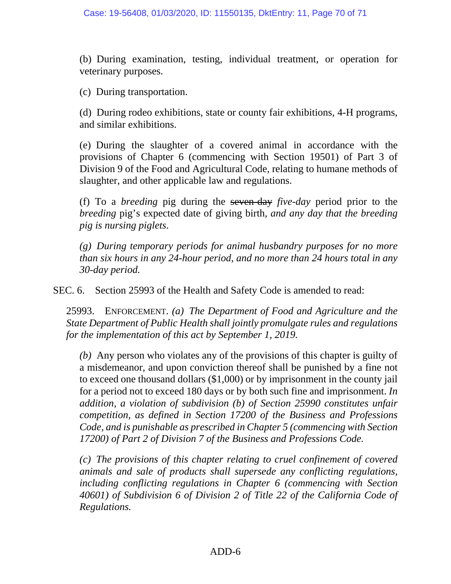(b) During examination, testing, individual treatment, or operation for veterinary purposes.

(c) During transportation.

(d) During rodeo exhibitions, state or county fair exhibitions, 4-H programs, and similar exhibitions.

(e) During the slaughter of a covered animal in accordance with the provisions of Chapter 6 (commencing with Section 19501) of Part 3 of Division 9 of the Food and Agricultural Code, relating to humane methods of slaughter, and other applicable law and regulations.

(f) To a *breeding* pig during the seven-day *five-day* period prior to the *breeding* pig's expected date of giving birth*, and any day that the breeding pig is nursing piglets*.

*(g) During temporary periods for animal husbandry purposes for no more than six hours in any 24-hour period, and no more than 24 hours total in any 30-day period.* 

SEC. 6. Section 25993 of the Health and Safety Code is amended to read:

25993. ENFORCEMENT. *(a) The Department of Food and Agriculture and the State Department of Public Health shall jointly promulgate rules and regulations for the implementation of this act by September 1, 2019.* 

*(b)* Any person who violates any of the provisions of this chapter is guilty of a misdemeanor, and upon conviction thereof shall be punished by a fine not to exceed one thousand dollars (\$1,000) or by imprisonment in the county jail for a period not to exceed 180 days or by both such fine and imprisonment. *In addition, a violation of subdivision (b) of Section 25990 constitutes unfair competition, as defined in Section 17200 of the Business and Professions Code, and is punishable as prescribed in Chapter 5 (commencing with Section 17200) of Part 2 of Division 7 of the Business and Professions Code.* 

*(c) The provisions of this chapter relating to cruel confinement of covered animals and sale of products shall supersede any conflicting regulations, including conflicting regulations in Chapter 6 (commencing with Section 40601) of Subdivision 6 of Division 2 of Title 22 of the California Code of Regulations.*